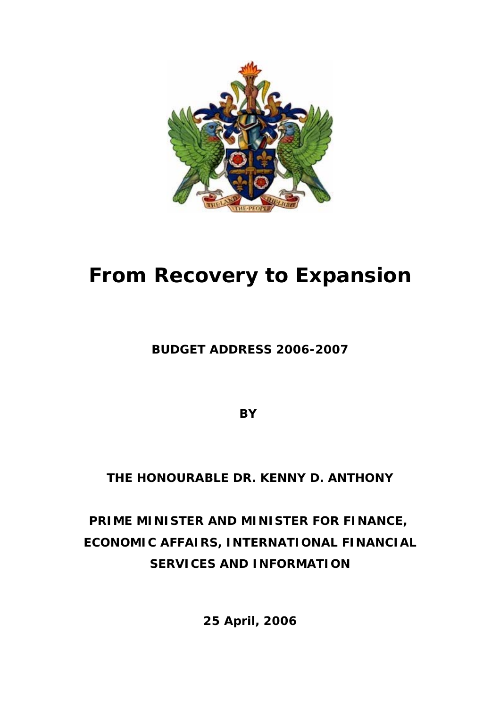

# **From Recovery to Expansion**

### **BUDGET ADDRESS 2006-2007**

**BY** 

## **THE HONOURABLE DR. KENNY D. ANTHONY**

## **PRIME MINISTER AND MINISTER FOR FINANCE, ECONOMIC AFFAIRS, INTERNATIONAL FINANCIAL SERVICES AND INFORMATION**

**25 April, 2006**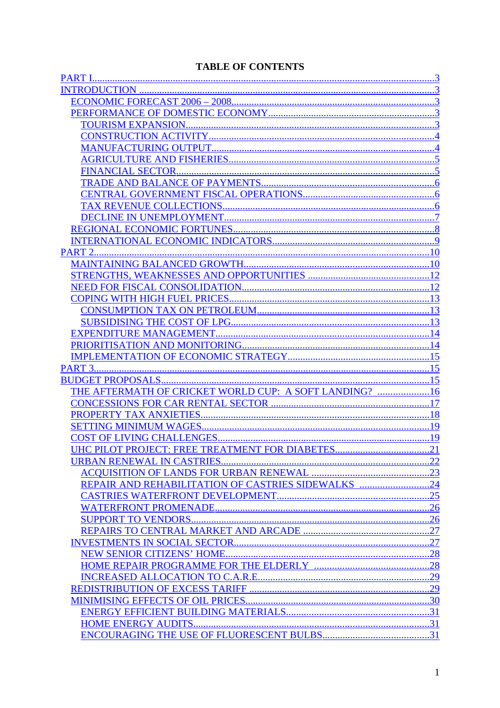#### **TABLE OF CONTENTS**

| THE AFTERMATH OF CRICKET WORLD CUP: A SOFT LANDING? 16 |     |
|--------------------------------------------------------|-----|
|                                                        |     |
|                                                        |     |
|                                                        |     |
|                                                        |     |
| UHC PILOT PROJECT: FREE TREATMENT FOR DIABETES.        | .21 |
|                                                        |     |
|                                                        |     |
| REPAIR AND REHABILITATION OF CASTRIES SIDEWALKS 24     |     |
|                                                        |     |
|                                                        |     |
|                                                        |     |
|                                                        |     |
|                                                        |     |
|                                                        |     |
|                                                        |     |
|                                                        |     |
|                                                        |     |
|                                                        |     |
|                                                        |     |
|                                                        |     |
|                                                        |     |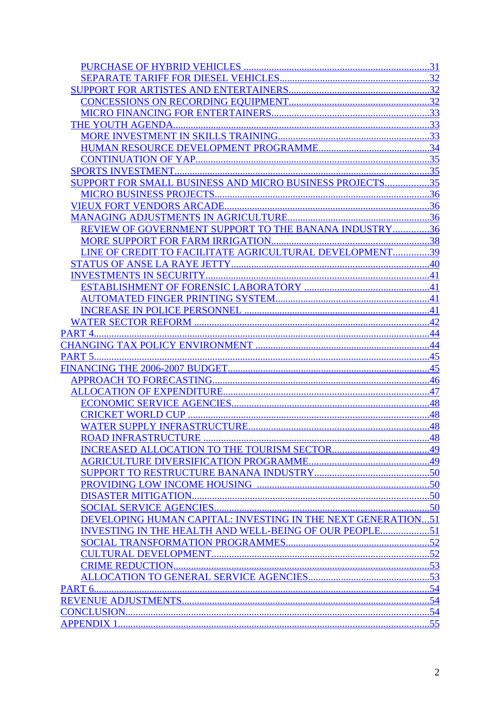|                                                                     | .31       |
|---------------------------------------------------------------------|-----------|
|                                                                     |           |
|                                                                     |           |
|                                                                     |           |
|                                                                     |           |
|                                                                     | .33       |
|                                                                     |           |
|                                                                     |           |
|                                                                     | .35       |
|                                                                     |           |
| SUPPORT FOR SMALL BUSINESS AND MICRO BUSINESS PROJECTS              | 35        |
|                                                                     |           |
|                                                                     | .36       |
|                                                                     |           |
| REVIEW OF GOVERNMENT SUPPORT TO THE BANANA INDUSTRY36               |           |
|                                                                     |           |
| LINE OF CREDIT TO FACILITATE AGRICULTURAL DEVELOPMENT39             |           |
|                                                                     | .40       |
|                                                                     |           |
|                                                                     |           |
|                                                                     | .41       |
|                                                                     |           |
|                                                                     | 42        |
| PART <sub>4</sub> .                                                 | 44        |
|                                                                     | .44       |
| <b>PART 5</b>                                                       | 45        |
|                                                                     | 45        |
|                                                                     | .46       |
|                                                                     | 47        |
|                                                                     | .48       |
|                                                                     | 48<br>.48 |
|                                                                     |           |
|                                                                     |           |
|                                                                     |           |
|                                                                     |           |
|                                                                     |           |
|                                                                     |           |
|                                                                     |           |
| <b>DEVELOPING HUMAN CAPITAL: INVESTING IN THE NEXT GENERATION51</b> |           |
| INVESTING IN THE HEALTH AND WELL-BEING OF OUR PEOPLE51              |           |
|                                                                     |           |
|                                                                     |           |
|                                                                     |           |
|                                                                     |           |
|                                                                     |           |
|                                                                     |           |
|                                                                     |           |
|                                                                     |           |
|                                                                     |           |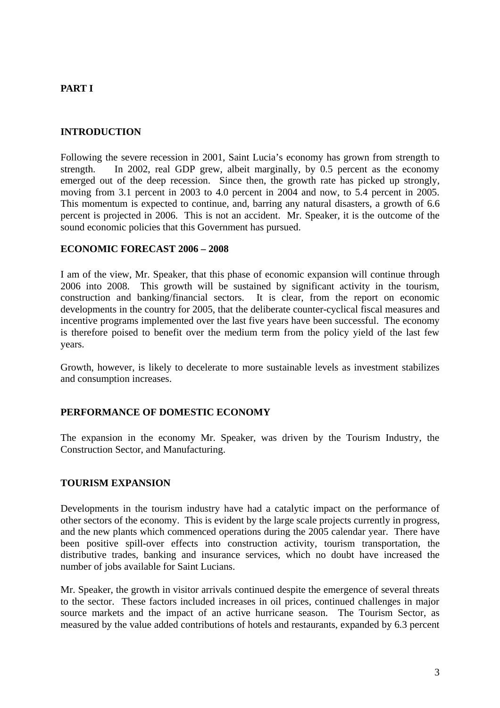#### **PART I**

#### **INTRODUCTION**

Following the severe recession in 2001, Saint Lucia's economy has grown from strength to strength. In 2002, real GDP grew, albeit marginally, by 0.5 percent as the economy emerged out of the deep recession. Since then, the growth rate has picked up strongly, moving from 3.1 percent in 2003 to 4.0 percent in 2004 and now, to 5.4 percent in 2005. This momentum is expected to continue, and, barring any natural disasters, a growth of 6.6 percent is projected in 2006. This is not an accident. Mr. Speaker, it is the outcome of the sound economic policies that this Government has pursued.

#### **ECONOMIC FORECAST 2006 – 2008**

I am of the view, Mr. Speaker, that this phase of economic expansion will continue through 2006 into 2008. This growth will be sustained by significant activity in the tourism, construction and banking/financial sectors. It is clear, from the report on economic developments in the country for 2005, that the deliberate counter-cyclical fiscal measures and incentive programs implemented over the last five years have been successful. The economy is therefore poised to benefit over the medium term from the policy yield of the last few years.

Growth, however, is likely to decelerate to more sustainable levels as investment stabilizes and consumption increases.

#### **PERFORMANCE OF DOMESTIC ECONOMY**

The expansion in the economy Mr. Speaker, was driven by the Tourism Industry, the Construction Sector, and Manufacturing.

#### **TOURISM EXPANSION**

Developments in the tourism industry have had a catalytic impact on the performance of other sectors of the economy. This is evident by the large scale projects currently in progress, and the new plants which commenced operations during the 2005 calendar year. There have been positive spill-over effects into construction activity, tourism transportation, the distributive trades, banking and insurance services, which no doubt have increased the number of jobs available for Saint Lucians.

Mr. Speaker, the growth in visitor arrivals continued despite the emergence of several threats to the sector. These factors included increases in oil prices, continued challenges in major source markets and the impact of an active hurricane season. The Tourism Sector, as measured by the value added contributions of hotels and restaurants, expanded by 6.3 percent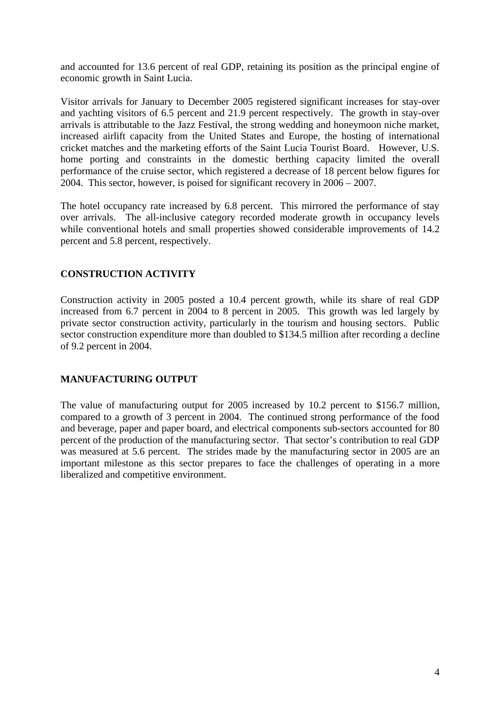and accounted for 13.6 percent of real GDP, retaining its position as the principal engine of economic growth in Saint Lucia.

Visitor arrivals for January to December 2005 registered significant increases for stay-over and yachting visitors of 6.5 percent and 21.9 percent respectively. The growth in stay-over arrivals is attributable to the Jazz Festival, the strong wedding and honeymoon niche market, increased airlift capacity from the United States and Europe, the hosting of international cricket matches and the marketing efforts of the Saint Lucia Tourist Board. However, U.S. home porting and constraints in the domestic berthing capacity limited the overall performance of the cruise sector, which registered a decrease of 18 percent below figures for 2004. This sector, however, is poised for significant recovery in 2006 – 2007.

The hotel occupancy rate increased by 6.8 percent. This mirrored the performance of stay over arrivals. The all-inclusive category recorded moderate growth in occupancy levels while conventional hotels and small properties showed considerable improvements of 14.2 percent and 5.8 percent, respectively.

#### **CONSTRUCTION ACTIVITY**

Construction activity in 2005 posted a 10.4 percent growth, while its share of real GDP increased from 6.7 percent in 2004 to 8 percent in 2005. This growth was led largely by private sector construction activity, particularly in the tourism and housing sectors. Public sector construction expenditure more than doubled to \$134.5 million after recording a decline of 9.2 percent in 2004.

#### **MANUFACTURING OUTPUT**

The value of manufacturing output for 2005 increased by 10.2 percent to \$156.7 million, compared to a growth of 3 percent in 2004. The continued strong performance of the food and beverage, paper and paper board, and electrical components sub-sectors accounted for 80 percent of the production of the manufacturing sector. That sector's contribution to real GDP was measured at 5.6 percent. The strides made by the manufacturing sector in 2005 are an important milestone as this sector prepares to face the challenges of operating in a more liberalized and competitive environment.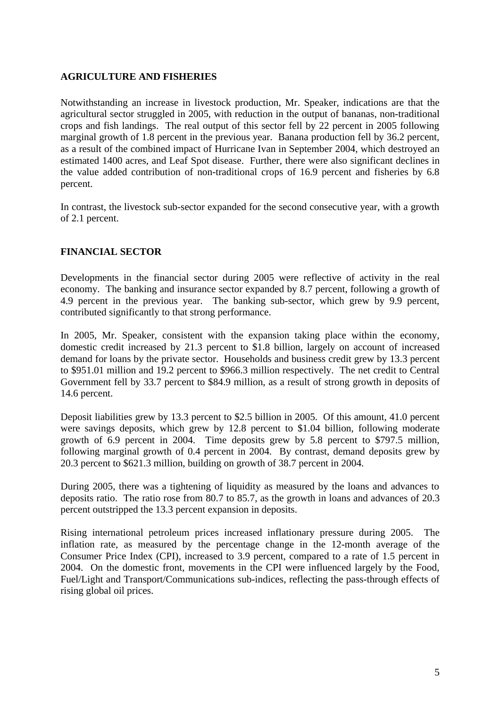#### **AGRICULTURE AND FISHERIES**

Notwithstanding an increase in livestock production, Mr. Speaker, indications are that the agricultural sector struggled in 2005, with reduction in the output of bananas, non-traditional crops and fish landings. The real output of this sector fell by 22 percent in 2005 following marginal growth of 1.8 percent in the previous year. Banana production fell by 36.2 percent, as a result of the combined impact of Hurricane Ivan in September 2004, which destroyed an estimated 1400 acres, and Leaf Spot disease. Further, there were also significant declines in the value added contribution of non-traditional crops of 16.9 percent and fisheries by 6.8 percent.

In contrast, the livestock sub-sector expanded for the second consecutive year, with a growth of 2.1 percent.

#### **FINANCIAL SECTOR**

Developments in the financial sector during 2005 were reflective of activity in the real economy. The banking and insurance sector expanded by 8.7 percent, following a growth of 4.9 percent in the previous year. The banking sub-sector, which grew by 9.9 percent, contributed significantly to that strong performance.

In 2005, Mr. Speaker, consistent with the expansion taking place within the economy, domestic credit increased by 21.3 percent to \$1.8 billion, largely on account of increased demand for loans by the private sector. Households and business credit grew by 13.3 percent to \$951.01 million and 19.2 percent to \$966.3 million respectively. The net credit to Central Government fell by 33.7 percent to \$84.9 million, as a result of strong growth in deposits of 14.6 percent.

Deposit liabilities grew by 13.3 percent to \$2.5 billion in 2005. Of this amount, 41.0 percent were savings deposits, which grew by 12.8 percent to \$1.04 billion, following moderate growth of 6.9 percent in 2004. Time deposits grew by 5.8 percent to \$797.5 million, following marginal growth of 0.4 percent in 2004. By contrast, demand deposits grew by 20.3 percent to \$621.3 million, building on growth of 38.7 percent in 2004.

During 2005, there was a tightening of liquidity as measured by the loans and advances to deposits ratio. The ratio rose from 80.7 to 85.7, as the growth in loans and advances of 20.3 percent outstripped the 13.3 percent expansion in deposits.

Rising international petroleum prices increased inflationary pressure during 2005. The inflation rate, as measured by the percentage change in the 12-month average of the Consumer Price Index (CPI), increased to 3.9 percent, compared to a rate of 1.5 percent in 2004. On the domestic front, movements in the CPI were influenced largely by the Food, Fuel/Light and Transport/Communications sub-indices, reflecting the pass-through effects of rising global oil prices.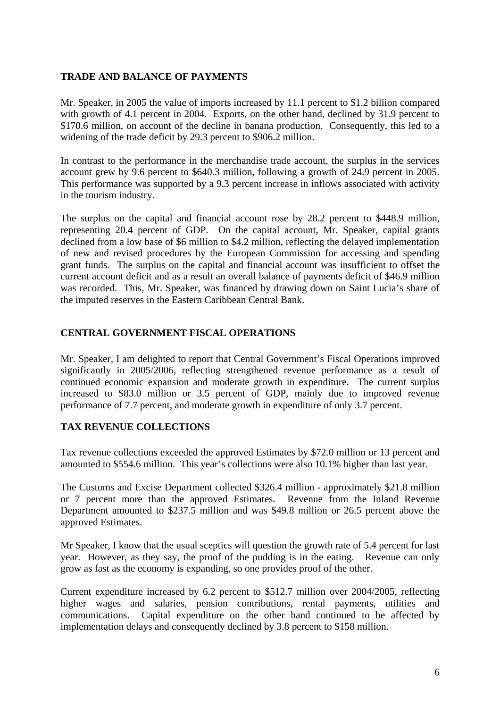#### **TRADE AND BALANCE OF PAYMENTS**

Mr. Speaker, in 2005 the value of imports increased by 11.1 percent to \$1.2 billion compared with growth of 4.1 percent in 2004. Exports, on the other hand, declined by 31.9 percent to \$170.6 million, on account of the decline in banana production. Consequently, this led to a widening of the trade deficit by 29.3 percent to \$906.2 million.

In contrast to the performance in the merchandise trade account, the surplus in the services account grew by 9.6 percent to \$640.3 million, following a growth of 24.9 percent in 2005. This performance was supported by a 9.3 percent increase in inflows associated with activity in the tourism industry.

The surplus on the capital and financial account rose by 28.2 percent to \$448.9 million, representing 20.4 percent of GDP. On the capital account, Mr. Speaker, capital grants declined from a low base of \$6 million to \$4.2 million, reflecting the delayed implementation of new and revised procedures by the European Commission for accessing and spending grant funds. The surplus on the capital and financial account was insufficient to offset the current account deficit and as a result an overall balance of payments deficit of \$46.9 million was recorded. This, Mr. Speaker, was financed by drawing down on Saint Lucia's share of the imputed reserves in the Eastern Caribbean Central Bank.

#### **CENTRAL GOVERNMENT FISCAL OPERATIONS**

Mr. Speaker, I am delighted to report that Central Government's Fiscal Operations improved significantly in 2005/2006, reflecting strengthened revenue performance as a result of continued economic expansion and moderate growth in expenditure. The current surplus increased to \$83.0 million or 3.5 percent of GDP, mainly due to improved revenue performance of 7.7 percent, and moderate growth in expenditure of only 3.7 percent.

#### **TAX REVENUE COLLECTIONS**

Tax revenue collections exceeded the approved Estimates by \$72.0 million or 13 percent and amounted to \$554.6 million. This year's collections were also 10.1% higher than last year.

The Customs and Excise Department collected \$326.4 million - approximately \$21.8 million or 7 percent more than the approved Estimates. Revenue from the Inland Revenue Department amounted to \$237.5 million and was \$49.8 million or 26.5 percent above the approved Estimates.

Mr Speaker, I know that the usual sceptics will question the growth rate of 5.4 percent for last year. However, as they say, the proof of the pudding is in the eating. Revenue can only grow as fast as the economy is expanding, so one provides proof of the other.

Current expenditure increased by 6.2 percent to \$512.7 million over 2004/2005, reflecting higher wages and salaries, pension contributions, rental payments, utilities and communications. Capital expenditure on the other hand continued to be affected by implementation delays and consequently declined by 3.8 percent to \$158 million.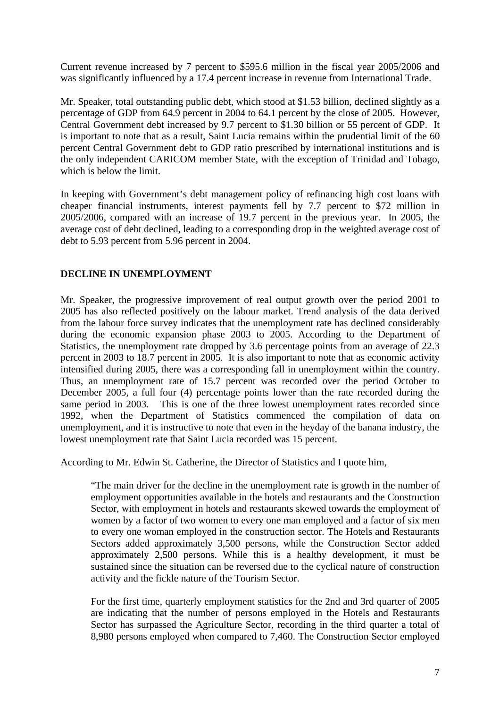Current revenue increased by 7 percent to \$595.6 million in the fiscal year 2005/2006 and was significantly influenced by a 17.4 percent increase in revenue from International Trade.

Mr. Speaker, total outstanding public debt, which stood at \$1.53 billion, declined slightly as a percentage of GDP from 64.9 percent in 2004 to 64.1 percent by the close of 2005. However, Central Government debt increased by 9.7 percent to \$1.30 billion or 55 percent of GDP. It is important to note that as a result, Saint Lucia remains within the prudential limit of the 60 percent Central Government debt to GDP ratio prescribed by international institutions and is the only independent CARICOM member State, with the exception of Trinidad and Tobago, which is below the limit.

In keeping with Government's debt management policy of refinancing high cost loans with cheaper financial instruments, interest payments fell by 7.7 percent to \$72 million in 2005/2006, compared with an increase of 19.7 percent in the previous year. In 2005, the average cost of debt declined, leading to a corresponding drop in the weighted average cost of debt to 5.93 percent from 5.96 percent in 2004.

#### **DECLINE IN UNEMPLOYMENT**

Mr. Speaker, the progressive improvement of real output growth over the period 2001 to 2005 has also reflected positively on the labour market. Trend analysis of the data derived from the labour force survey indicates that the unemployment rate has declined considerably during the economic expansion phase 2003 to 2005. According to the Department of Statistics, the unemployment rate dropped by 3.6 percentage points from an average of 22.3 percent in 2003 to 18.7 percent in 2005. It is also important to note that as economic activity intensified during 2005, there was a corresponding fall in unemployment within the country. Thus, an unemployment rate of 15.7 percent was recorded over the period October to December 2005, a full four (4) percentage points lower than the rate recorded during the same period in 2003. This is one of the three lowest unemployment rates recorded since 1992, when the Department of Statistics commenced the compilation of data on unemployment, and it is instructive to note that even in the heyday of the banana industry, the lowest unemployment rate that Saint Lucia recorded was 15 percent.

According to Mr. Edwin St. Catherine, the Director of Statistics and I quote him,

"The main driver for the decline in the unemployment rate is growth in the number of employment opportunities available in the hotels and restaurants and the Construction Sector, with employment in hotels and restaurants skewed towards the employment of women by a factor of two women to every one man employed and a factor of six men to every one woman employed in the construction sector. The Hotels and Restaurants Sectors added approximately 3,500 persons, while the Construction Sector added approximately 2,500 persons. While this is a healthy development, it must be sustained since the situation can be reversed due to the cyclical nature of construction activity and the fickle nature of the Tourism Sector.

For the first time, quarterly employment statistics for the 2nd and 3rd quarter of 2005 are indicating that the number of persons employed in the Hotels and Restaurants Sector has surpassed the Agriculture Sector, recording in the third quarter a total of 8,980 persons employed when compared to 7,460. The Construction Sector employed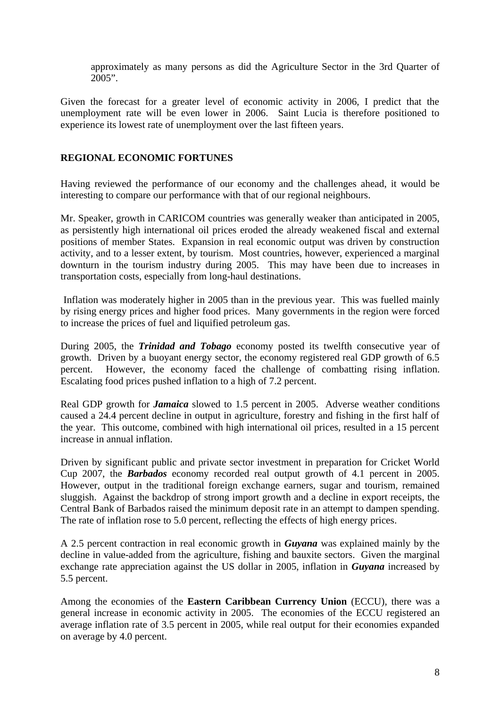approximately as many persons as did the Agriculture Sector in the 3rd Quarter of 2005".

Given the forecast for a greater level of economic activity in 2006, I predict that the unemployment rate will be even lower in 2006. Saint Lucia is therefore positioned to experience its lowest rate of unemployment over the last fifteen years.

#### **REGIONAL ECONOMIC FORTUNES**

Having reviewed the performance of our economy and the challenges ahead, it would be interesting to compare our performance with that of our regional neighbours.

Mr. Speaker, growth in CARICOM countries was generally weaker than anticipated in 2005, as persistently high international oil prices eroded the already weakened fiscal and external positions of member States. Expansion in real economic output was driven by construction activity, and to a lesser extent, by tourism. Most countries, however, experienced a marginal downturn in the tourism industry during 2005. This may have been due to increases in transportation costs, especially from long-haul destinations.

 Inflation was moderately higher in 2005 than in the previous year. This was fuelled mainly by rising energy prices and higher food prices. Many governments in the region were forced to increase the prices of fuel and liquified petroleum gas.

During 2005, the *Trinidad and Tobago* economy posted its twelfth consecutive year of growth. Driven by a buoyant energy sector, the economy registered real GDP growth of 6.5 percent. However, the economy faced the challenge of combatting rising inflation. Escalating food prices pushed inflation to a high of 7.2 percent.

Real GDP growth for *Jamaica* slowed to 1.5 percent in 2005. Adverse weather conditions caused a 24.4 percent decline in output in agriculture, forestry and fishing in the first half of the year. This outcome, combined with high international oil prices, resulted in a 15 percent increase in annual inflation.

Driven by significant public and private sector investment in preparation for Cricket World Cup 2007, the *Barbados* economy recorded real output growth of 4.1 percent in 2005. However, output in the traditional foreign exchange earners, sugar and tourism, remained sluggish. Against the backdrop of strong import growth and a decline in export receipts, the Central Bank of Barbados raised the minimum deposit rate in an attempt to dampen spending. The rate of inflation rose to 5.0 percent, reflecting the effects of high energy prices.

A 2.5 percent contraction in real economic growth in *Guyana* was explained mainly by the decline in value-added from the agriculture, fishing and bauxite sectors. Given the marginal exchange rate appreciation against the US dollar in 2005, inflation in *Guyana* increased by 5.5 percent.

Among the economies of the **Eastern Caribbean Currency Union** (ECCU), there was a general increase in economic activity in 2005. The economies of the ECCU registered an average inflation rate of 3.5 percent in 2005, while real output for their economies expanded on average by 4.0 percent.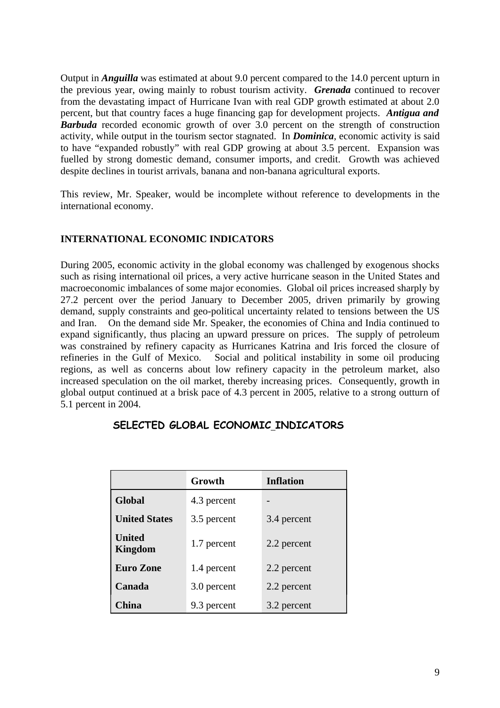Output in *Anguilla* was estimated at about 9.0 percent compared to the 14.0 percent upturn in the previous year, owing mainly to robust tourism activity. *Grenada* continued to recover from the devastating impact of Hurricane Ivan with real GDP growth estimated at about 2.0 percent, but that country faces a huge financing gap for development projects. *Antigua and Barbuda* recorded economic growth of over 3.0 percent on the strength of construction activity, while output in the tourism sector stagnated. In *Dominica*, economic activity is said to have "expanded robustly" with real GDP growing at about 3.5 percent. Expansion was fuelled by strong domestic demand, consumer imports, and credit. Growth was achieved despite declines in tourist arrivals, banana and non-banana agricultural exports.

This review, Mr. Speaker, would be incomplete without reference to developments in the international economy.

#### **INTERNATIONAL ECONOMIC INDICATORS**

During 2005, economic activity in the global economy was challenged by exogenous shocks such as rising international oil prices, a very active hurricane season in the United States and macroeconomic imbalances of some major economies. Global oil prices increased sharply by 27.2 percent over the period January to December 2005, driven primarily by growing demand, supply constraints and geo-political uncertainty related to tensions between the US and Iran. On the demand side Mr. Speaker, the economies of China and India continued to expand significantly, thus placing an upward pressure on prices. The supply of petroleum was constrained by refinery capacity as Hurricanes Katrina and Iris forced the closure of refineries in the Gulf of Mexico. Social and political instability in some oil producing regions, as well as concerns about low refinery capacity in the petroleum market, also increased speculation on the oil market, thereby increasing prices. Consequently, growth in global output continued at a brisk pace of 4.3 percent in 2005, relative to a strong outturn of 5.1 percent in 2004.

|                      | Growth      | <b>Inflation</b> |
|----------------------|-------------|------------------|
| Global               | 4.3 percent |                  |
| <b>United States</b> | 3.5 percent | 3.4 percent      |
| United<br>Kingdom    | 1.7 percent | 2.2 percent      |
| <b>Euro Zone</b>     | 1.4 percent | 2.2 percent      |
| Canada               | 3.0 percent | 2.2 percent      |
| China                | 9.3 percent | 3.2 percent      |

#### **SELECTED GLOBAL ECONOMIC INDICATORS**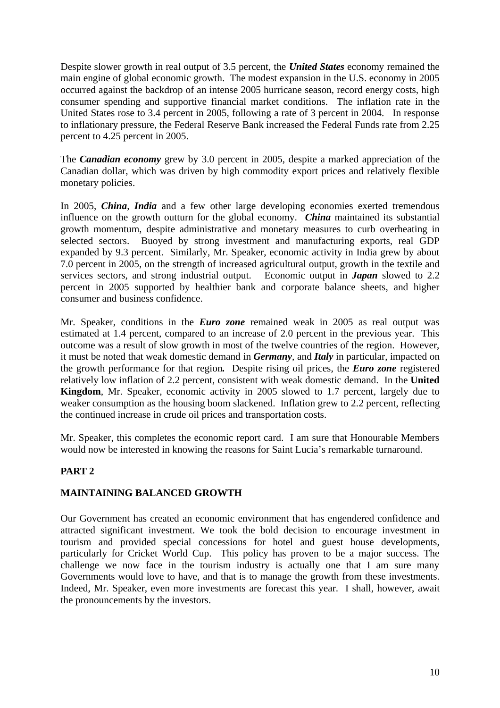Despite slower growth in real output of 3.5 percent, the *United States* economy remained the main engine of global economic growth. The modest expansion in the U.S. economy in 2005 occurred against the backdrop of an intense 2005 hurricane season, record energy costs, high consumer spending and supportive financial market conditions. The inflation rate in the United States rose to 3.4 percent in 2005, following a rate of 3 percent in 2004. In response to inflationary pressure, the Federal Reserve Bank increased the Federal Funds rate from 2.25 percent to 4.25 percent in 2005.

The *Canadian economy* grew by 3.0 percent in 2005, despite a marked appreciation of the Canadian dollar, which was driven by high commodity export prices and relatively flexible monetary policies.

In 2005, *China*, *India* and a few other large developing economies exerted tremendous influence on the growth outturn for the global economy. *China* maintained its substantial growth momentum, despite administrative and monetary measures to curb overheating in selected sectors. Buoyed by strong investment and manufacturing exports, real GDP expanded by 9.3 percent. Similarly, Mr. Speaker, economic activity in India grew by about 7.0 percent in 2005, on the strength of increased agricultural output, growth in the textile and services sectors, and strong industrial output. Economic output in *Japan* slowed to 2.2 percent in 2005 supported by healthier bank and corporate balance sheets, and higher consumer and business confidence.

Mr. Speaker, conditions in the *Euro zone* remained weak in 2005 as real output was estimated at 1.4 percent, compared to an increase of 2.0 percent in the previous year. This outcome was a result of slow growth in most of the twelve countries of the region. However, it must be noted that weak domestic demand in *Germany*, and *Italy* in particular, impacted on the growth performance for that region*.* Despite rising oil prices, the *Euro zone* registered relatively low inflation of 2.2 percent, consistent with weak domestic demand. In the **United Kingdom**, Mr. Speaker, economic activity in 2005 slowed to 1.7 percent, largely due to weaker consumption as the housing boom slackened. Inflation grew to 2.2 percent, reflecting the continued increase in crude oil prices and transportation costs.

Mr. Speaker, this completes the economic report card. I am sure that Honourable Members would now be interested in knowing the reasons for Saint Lucia's remarkable turnaround.

#### **PART 2**

#### **MAINTAINING BALANCED GROWTH**

Our Government has created an economic environment that has engendered confidence and attracted significant investment. We took the bold decision to encourage investment in tourism and provided special concessions for hotel and guest house developments, particularly for Cricket World Cup. This policy has proven to be a major success. The challenge we now face in the tourism industry is actually one that I am sure many Governments would love to have, and that is to manage the growth from these investments. Indeed, Mr. Speaker, even more investments are forecast this year. I shall, however, await the pronouncements by the investors.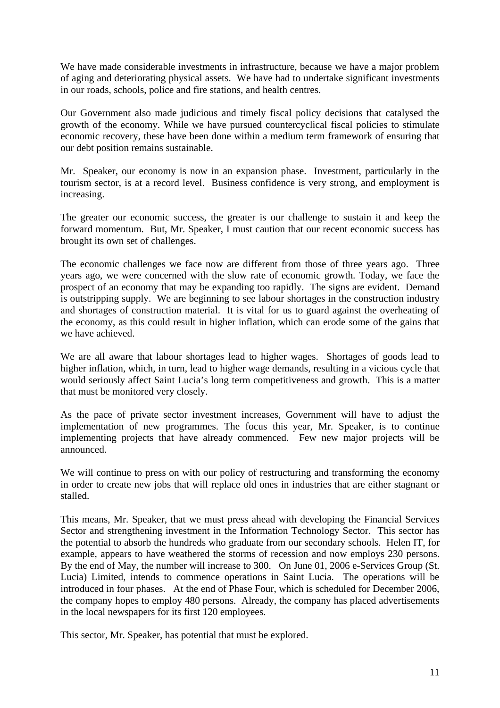We have made considerable investments in infrastructure, because we have a major problem of aging and deteriorating physical assets. We have had to undertake significant investments in our roads, schools, police and fire stations, and health centres.

Our Government also made judicious and timely fiscal policy decisions that catalysed the growth of the economy. While we have pursued countercyclical fiscal policies to stimulate economic recovery, these have been done within a medium term framework of ensuring that our debt position remains sustainable.

Mr. Speaker, our economy is now in an expansion phase. Investment, particularly in the tourism sector, is at a record level. Business confidence is very strong, and employment is increasing.

The greater our economic success, the greater is our challenge to sustain it and keep the forward momentum. But, Mr. Speaker, I must caution that our recent economic success has brought its own set of challenges.

The economic challenges we face now are different from those of three years ago. Three years ago, we were concerned with the slow rate of economic growth. Today, we face the prospect of an economy that may be expanding too rapidly. The signs are evident. Demand is outstripping supply. We are beginning to see labour shortages in the construction industry and shortages of construction material. It is vital for us to guard against the overheating of the economy, as this could result in higher inflation, which can erode some of the gains that we have achieved.

We are all aware that labour shortages lead to higher wages. Shortages of goods lead to higher inflation, which, in turn, lead to higher wage demands, resulting in a vicious cycle that would seriously affect Saint Lucia's long term competitiveness and growth. This is a matter that must be monitored very closely.

As the pace of private sector investment increases, Government will have to adjust the implementation of new programmes. The focus this year, Mr. Speaker, is to continue implementing projects that have already commenced. Few new major projects will be announced.

We will continue to press on with our policy of restructuring and transforming the economy in order to create new jobs that will replace old ones in industries that are either stagnant or stalled.

This means, Mr. Speaker, that we must press ahead with developing the Financial Services Sector and strengthening investment in the Information Technology Sector. This sector has the potential to absorb the hundreds who graduate from our secondary schools. Helen IT, for example, appears to have weathered the storms of recession and now employs 230 persons. By the end of May, the number will increase to 300. On June 01, 2006 e-Services Group (St. Lucia) Limited, intends to commence operations in Saint Lucia. The operations will be introduced in four phases. At the end of Phase Four, which is scheduled for December 2006, the company hopes to employ 480 persons. Already, the company has placed advertisements in the local newspapers for its first 120 employees.

This sector, Mr. Speaker, has potential that must be explored.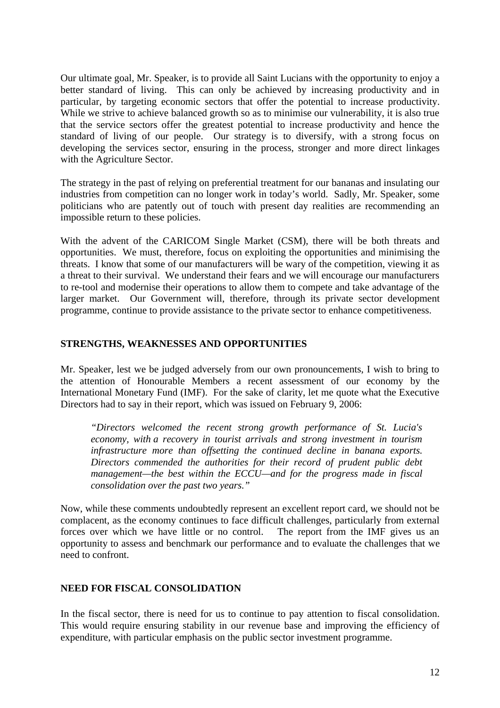Our ultimate goal, Mr. Speaker, is to provide all Saint Lucians with the opportunity to enjoy a better standard of living. This can only be achieved by increasing productivity and in particular, by targeting economic sectors that offer the potential to increase productivity. While we strive to achieve balanced growth so as to minimise our vulnerability, it is also true that the service sectors offer the greatest potential to increase productivity and hence the standard of living of our people. Our strategy is to diversify, with a strong focus on developing the services sector, ensuring in the process, stronger and more direct linkages with the Agriculture Sector.

The strategy in the past of relying on preferential treatment for our bananas and insulating our industries from competition can no longer work in today's world. Sadly, Mr. Speaker, some politicians who are patently out of touch with present day realities are recommending an impossible return to these policies.

With the advent of the CARICOM Single Market (CSM), there will be both threats and opportunities. We must, therefore, focus on exploiting the opportunities and minimising the threats. I know that some of our manufacturers will be wary of the competition, viewing it as a threat to their survival. We understand their fears and we will encourage our manufacturers to re-tool and modernise their operations to allow them to compete and take advantage of the larger market. Our Government will, therefore, through its private sector development programme, continue to provide assistance to the private sector to enhance competitiveness.

#### **STRENGTHS, WEAKNESSES AND OPPORTUNITIES**

Mr. Speaker, lest we be judged adversely from our own pronouncements, I wish to bring to the attention of Honourable Members a recent assessment of our economy by the International Monetary Fund (IMF). For the sake of clarity, let me quote what the Executive Directors had to say in their report, which was issued on February 9, 2006:

*"Directors welcomed the recent strong growth performance of St. Lucia's economy, with a recovery in tourist arrivals and strong investment in tourism infrastructure more than offsetting the continued decline in banana exports. Directors commended the authorities for their record of prudent public debt management—the best within the ECCU—and for the progress made in fiscal consolidation over the past two years."*

Now, while these comments undoubtedly represent an excellent report card, we should not be complacent, as the economy continues to face difficult challenges, particularly from external forces over which we have little or no control. The report from the IMF gives us an opportunity to assess and benchmark our performance and to evaluate the challenges that we need to confront.

#### **NEED FOR FISCAL CONSOLIDATION**

In the fiscal sector, there is need for us to continue to pay attention to fiscal consolidation. This would require ensuring stability in our revenue base and improving the efficiency of expenditure, with particular emphasis on the public sector investment programme.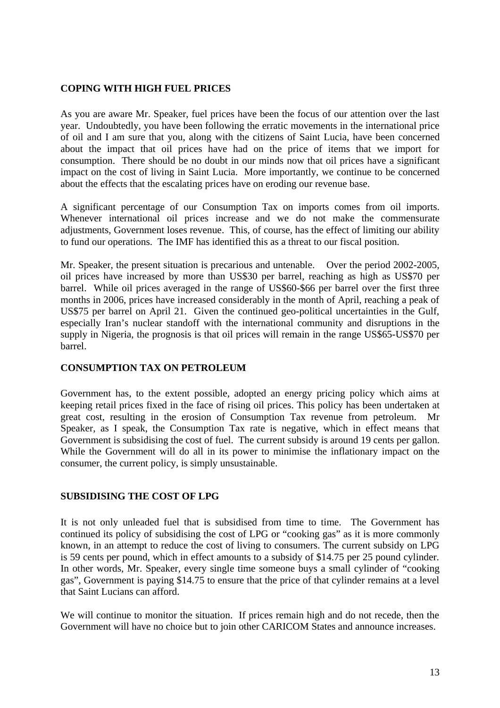#### **COPING WITH HIGH FUEL PRICES**

As you are aware Mr. Speaker, fuel prices have been the focus of our attention over the last year. Undoubtedly, you have been following the erratic movements in the international price of oil and I am sure that you, along with the citizens of Saint Lucia, have been concerned about the impact that oil prices have had on the price of items that we import for consumption. There should be no doubt in our minds now that oil prices have a significant impact on the cost of living in Saint Lucia. More importantly, we continue to be concerned about the effects that the escalating prices have on eroding our revenue base.

A significant percentage of our Consumption Tax on imports comes from oil imports. Whenever international oil prices increase and we do not make the commensurate adjustments, Government loses revenue. This, of course, has the effect of limiting our ability to fund our operations. The IMF has identified this as a threat to our fiscal position.

Mr. Speaker, the present situation is precarious and untenable. Over the period 2002-2005, oil prices have increased by more than US\$30 per barrel, reaching as high as US\$70 per barrel. While oil prices averaged in the range of US\$60-\$66 per barrel over the first three months in 2006, prices have increased considerably in the month of April, reaching a peak of US\$75 per barrel on April 21. Given the continued geo-political uncertainties in the Gulf, especially Iran's nuclear standoff with the international community and disruptions in the supply in Nigeria, the prognosis is that oil prices will remain in the range US\$65-US\$70 per barrel.

#### **CONSUMPTION TAX ON PETROLEUM**

Government has, to the extent possible, adopted an energy pricing policy which aims at keeping retail prices fixed in the face of rising oil prices. This policy has been undertaken at great cost, resulting in the erosion of Consumption Tax revenue from petroleum. Mr Speaker, as I speak, the Consumption Tax rate is negative, which in effect means that Government is subsidising the cost of fuel. The current subsidy is around 19 cents per gallon. While the Government will do all in its power to minimise the inflationary impact on the consumer, the current policy, is simply unsustainable.

#### **SUBSIDISING THE COST OF LPG**

It is not only unleaded fuel that is subsidised from time to time. The Government has continued its policy of subsidising the cost of LPG or "cooking gas" as it is more commonly known, in an attempt to reduce the cost of living to consumers. The current subsidy on LPG is 59 cents per pound, which in effect amounts to a subsidy of \$14.75 per 25 pound cylinder. In other words, Mr. Speaker, every single time someone buys a small cylinder of "cooking gas", Government is paying \$14.75 to ensure that the price of that cylinder remains at a level that Saint Lucians can afford.

We will continue to monitor the situation. If prices remain high and do not recede, then the Government will have no choice but to join other CARICOM States and announce increases.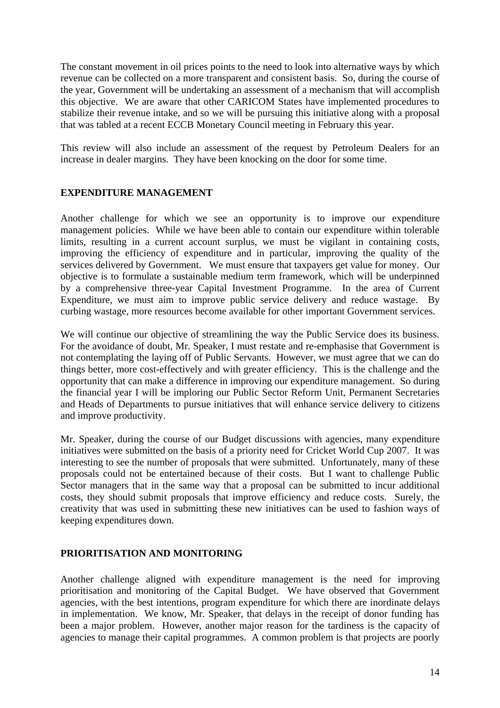The constant movement in oil prices points to the need to look into alternative ways by which revenue can be collected on a more transparent and consistent basis. So, during the course of the year, Government will be undertaking an assessment of a mechanism that will accomplish this objective. We are aware that other CARICOM States have implemented procedures to stabilize their revenue intake, and so we will be pursuing this initiative along with a proposal that was tabled at a recent ECCB Monetary Council meeting in February this year.

This review will also include an assessment of the request by Petroleum Dealers for an increase in dealer margins. They have been knocking on the door for some time.

#### **EXPENDITURE MANAGEMENT**

Another challenge for which we see an opportunity is to improve our expenditure management policies. While we have been able to contain our expenditure within tolerable limits, resulting in a current account surplus, we must be vigilant in containing costs, improving the efficiency of expenditure and in particular, improving the quality of the services delivered by Government. We must ensure that taxpayers get value for money. Our objective is to formulate a sustainable medium term framework, which will be underpinned by a comprehensive three-year Capital Investment Programme. In the area of Current Expenditure, we must aim to improve public service delivery and reduce wastage. By curbing wastage, more resources become available for other important Government services.

We will continue our objective of streamlining the way the Public Service does its business. For the avoidance of doubt, Mr. Speaker, I must restate and re-emphasise that Government is not contemplating the laying off of Public Servants. However, we must agree that we can do things better, more cost-effectively and with greater efficiency. This is the challenge and the opportunity that can make a difference in improving our expenditure management. So during the financial year I will be imploring our Public Sector Reform Unit, Permanent Secretaries and Heads of Departments to pursue initiatives that will enhance service delivery to citizens and improve productivity.

Mr. Speaker, during the course of our Budget discussions with agencies, many expenditure initiatives were submitted on the basis of a priority need for Cricket World Cup 2007. It was interesting to see the number of proposals that were submitted. Unfortunately, many of these proposals could not be entertained because of their costs. But I want to challenge Public Sector managers that in the same way that a proposal can be submitted to incur additional costs, they should submit proposals that improve efficiency and reduce costs. Surely, the creativity that was used in submitting these new initiatives can be used to fashion ways of keeping expenditures down.

#### **PRIORITISATION AND MONITORING**

Another challenge aligned with expenditure management is the need for improving prioritisation and monitoring of the Capital Budget. We have observed that Government agencies, with the best intentions, program expenditure for which there are inordinate delays in implementation. We know, Mr. Speaker, that delays in the receipt of donor funding has been a major problem. However, another major reason for the tardiness is the capacity of agencies to manage their capital programmes. A common problem is that projects are poorly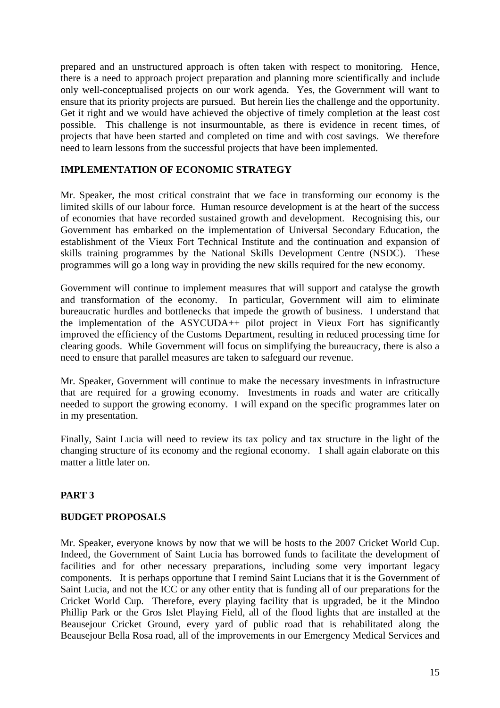prepared and an unstructured approach is often taken with respect to monitoring. Hence, there is a need to approach project preparation and planning more scientifically and include only well-conceptualised projects on our work agenda. Yes, the Government will want to ensure that its priority projects are pursued. But herein lies the challenge and the opportunity. Get it right and we would have achieved the objective of timely completion at the least cost possible. This challenge is not insurmountable, as there is evidence in recent times, of projects that have been started and completed on time and with cost savings. We therefore need to learn lessons from the successful projects that have been implemented.

#### **IMPLEMENTATION OF ECONOMIC STRATEGY**

Mr. Speaker, the most critical constraint that we face in transforming our economy is the limited skills of our labour force. Human resource development is at the heart of the success of economies that have recorded sustained growth and development. Recognising this, our Government has embarked on the implementation of Universal Secondary Education, the establishment of the Vieux Fort Technical Institute and the continuation and expansion of skills training programmes by the National Skills Development Centre (NSDC). These programmes will go a long way in providing the new skills required for the new economy.

Government will continue to implement measures that will support and catalyse the growth and transformation of the economy. In particular, Government will aim to eliminate bureaucratic hurdles and bottlenecks that impede the growth of business. I understand that the implementation of the ASYCUDA++ pilot project in Vieux Fort has significantly improved the efficiency of the Customs Department, resulting in reduced processing time for clearing goods. While Government will focus on simplifying the bureaucracy, there is also a need to ensure that parallel measures are taken to safeguard our revenue.

Mr. Speaker, Government will continue to make the necessary investments in infrastructure that are required for a growing economy. Investments in roads and water are critically needed to support the growing economy. I will expand on the specific programmes later on in my presentation.

Finally, Saint Lucia will need to review its tax policy and tax structure in the light of the changing structure of its economy and the regional economy. I shall again elaborate on this matter a little later on.

#### **PART 3**

#### **BUDGET PROPOSALS**

Mr. Speaker, everyone knows by now that we will be hosts to the 2007 Cricket World Cup. Indeed, the Government of Saint Lucia has borrowed funds to facilitate the development of facilities and for other necessary preparations, including some very important legacy components. It is perhaps opportune that I remind Saint Lucians that it is the Government of Saint Lucia, and not the ICC or any other entity that is funding all of our preparations for the Cricket World Cup. Therefore, every playing facility that is upgraded, be it the Mindoo Phillip Park or the Gros Islet Playing Field, all of the flood lights that are installed at the Beausejour Cricket Ground, every yard of public road that is rehabilitated along the Beausejour Bella Rosa road, all of the improvements in our Emergency Medical Services and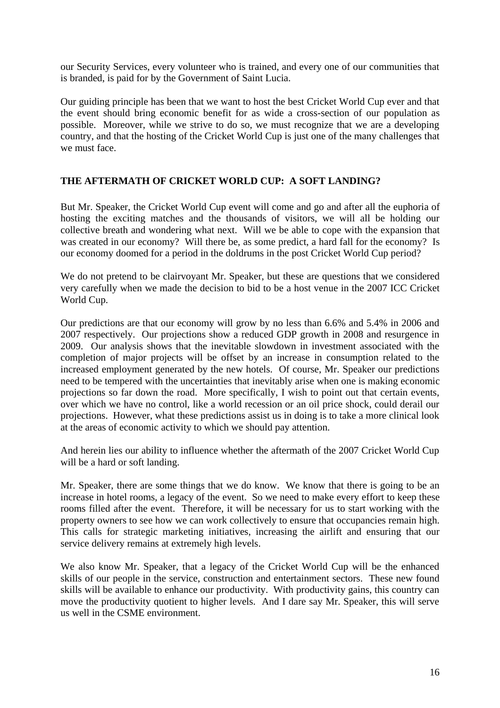our Security Services, every volunteer who is trained, and every one of our communities that is branded, is paid for by the Government of Saint Lucia.

Our guiding principle has been that we want to host the best Cricket World Cup ever and that the event should bring economic benefit for as wide a cross-section of our population as possible. Moreover, while we strive to do so, we must recognize that we are a developing country, and that the hosting of the Cricket World Cup is just one of the many challenges that we must face.

#### **THE AFTERMATH OF CRICKET WORLD CUP: A SOFT LANDING?**

But Mr. Speaker, the Cricket World Cup event will come and go and after all the euphoria of hosting the exciting matches and the thousands of visitors, we will all be holding our collective breath and wondering what next. Will we be able to cope with the expansion that was created in our economy? Will there be, as some predict, a hard fall for the economy? Is our economy doomed for a period in the doldrums in the post Cricket World Cup period?

We do not pretend to be clairvoyant Mr. Speaker, but these are questions that we considered very carefully when we made the decision to bid to be a host venue in the 2007 ICC Cricket World Cup.

Our predictions are that our economy will grow by no less than 6.6% and 5.4% in 2006 and 2007 respectively. Our projections show a reduced GDP growth in 2008 and resurgence in 2009. Our analysis shows that the inevitable slowdown in investment associated with the completion of major projects will be offset by an increase in consumption related to the increased employment generated by the new hotels. Of course, Mr. Speaker our predictions need to be tempered with the uncertainties that inevitably arise when one is making economic projections so far down the road. More specifically, I wish to point out that certain events, over which we have no control, like a world recession or an oil price shock, could derail our projections. However, what these predictions assist us in doing is to take a more clinical look at the areas of economic activity to which we should pay attention.

And herein lies our ability to influence whether the aftermath of the 2007 Cricket World Cup will be a hard or soft landing.

Mr. Speaker, there are some things that we do know. We know that there is going to be an increase in hotel rooms, a legacy of the event. So we need to make every effort to keep these rooms filled after the event. Therefore, it will be necessary for us to start working with the property owners to see how we can work collectively to ensure that occupancies remain high. This calls for strategic marketing initiatives, increasing the airlift and ensuring that our service delivery remains at extremely high levels.

We also know Mr. Speaker, that a legacy of the Cricket World Cup will be the enhanced skills of our people in the service, construction and entertainment sectors. These new found skills will be available to enhance our productivity. With productivity gains, this country can move the productivity quotient to higher levels. And I dare say Mr. Speaker, this will serve us well in the CSME environment.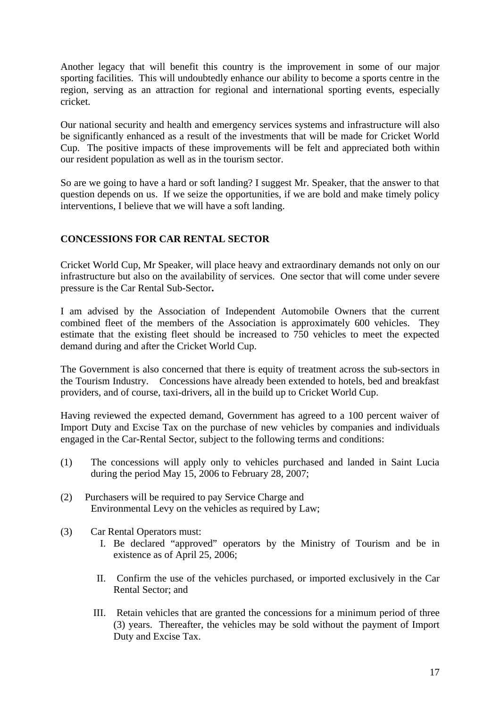Another legacy that will benefit this country is the improvement in some of our major sporting facilities. This will undoubtedly enhance our ability to become a sports centre in the region, serving as an attraction for regional and international sporting events, especially cricket.

Our national security and health and emergency services systems and infrastructure will also be significantly enhanced as a result of the investments that will be made for Cricket World Cup. The positive impacts of these improvements will be felt and appreciated both within our resident population as well as in the tourism sector.

So are we going to have a hard or soft landing? I suggest Mr. Speaker, that the answer to that question depends on us. If we seize the opportunities, if we are bold and make timely policy interventions, I believe that we will have a soft landing.

#### **CONCESSIONS FOR CAR RENTAL SECTOR**

Cricket World Cup, Mr Speaker, will place heavy and extraordinary demands not only on our infrastructure but also on the availability of services. One sector that will come under severe pressure is the Car Rental Sub-Sector**.**

I am advised by the Association of Independent Automobile Owners that the current combined fleet of the members of the Association is approximately 600 vehicles. They estimate that the existing fleet should be increased to 750 vehicles to meet the expected demand during and after the Cricket World Cup.

The Government is also concerned that there is equity of treatment across the sub-sectors in the Tourism Industry. Concessions have already been extended to hotels, bed and breakfast providers, and of course, taxi-drivers, all in the build up to Cricket World Cup.

Having reviewed the expected demand, Government has agreed to a 100 percent waiver of Import Duty and Excise Tax on the purchase of new vehicles by companies and individuals engaged in the Car-Rental Sector, subject to the following terms and conditions:

- (1) The concessions will apply only to vehicles purchased and landed in Saint Lucia during the period May 15, 2006 to February 28, 2007;
- (2) Purchasers will be required to pay Service Charge and Environmental Levy on the vehicles as required by Law;
- (3) Car Rental Operators must:
	- I. Be declared "approved" operators by the Ministry of Tourism and be in existence as of April 25, 2006;
	- II. Confirm the use of the vehicles purchased, or imported exclusively in the Car Rental Sector; and
	- III. Retain vehicles that are granted the concessions for a minimum period of three (3) years. Thereafter, the vehicles may be sold without the payment of Import Duty and Excise Tax.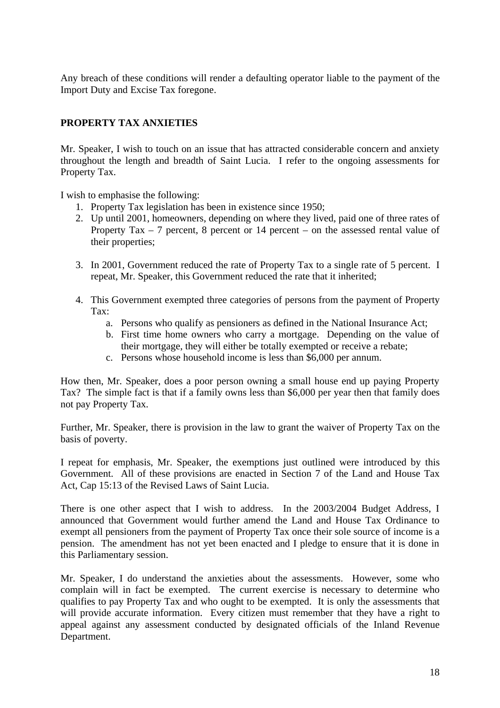Any breach of these conditions will render a defaulting operator liable to the payment of the Import Duty and Excise Tax foregone.

#### **PROPERTY TAX ANXIETIES**

Mr. Speaker, I wish to touch on an issue that has attracted considerable concern and anxiety throughout the length and breadth of Saint Lucia. I refer to the ongoing assessments for Property Tax.

I wish to emphasise the following:

- 1. Property Tax legislation has been in existence since 1950;
- 2. Up until 2001, homeowners, depending on where they lived, paid one of three rates of Property Tax – 7 percent, 8 percent or 14 percent – on the assessed rental value of their properties;
- 3. In 2001, Government reduced the rate of Property Tax to a single rate of 5 percent. I repeat, Mr. Speaker, this Government reduced the rate that it inherited;
- 4. This Government exempted three categories of persons from the payment of Property Tax:
	- a. Persons who qualify as pensioners as defined in the National Insurance Act;
	- b. First time home owners who carry a mortgage. Depending on the value of their mortgage, they will either be totally exempted or receive a rebate;
	- c. Persons whose household income is less than \$6,000 per annum.

How then, Mr. Speaker, does a poor person owning a small house end up paying Property Tax? The simple fact is that if a family owns less than \$6,000 per year then that family does not pay Property Tax.

Further, Mr. Speaker, there is provision in the law to grant the waiver of Property Tax on the basis of poverty.

I repeat for emphasis, Mr. Speaker, the exemptions just outlined were introduced by this Government. All of these provisions are enacted in Section 7 of the Land and House Tax Act, Cap 15:13 of the Revised Laws of Saint Lucia.

There is one other aspect that I wish to address. In the 2003/2004 Budget Address, I announced that Government would further amend the Land and House Tax Ordinance to exempt all pensioners from the payment of Property Tax once their sole source of income is a pension. The amendment has not yet been enacted and I pledge to ensure that it is done in this Parliamentary session.

Mr. Speaker, I do understand the anxieties about the assessments. However, some who complain will in fact be exempted. The current exercise is necessary to determine who qualifies to pay Property Tax and who ought to be exempted. It is only the assessments that will provide accurate information. Every citizen must remember that they have a right to appeal against any assessment conducted by designated officials of the Inland Revenue Department.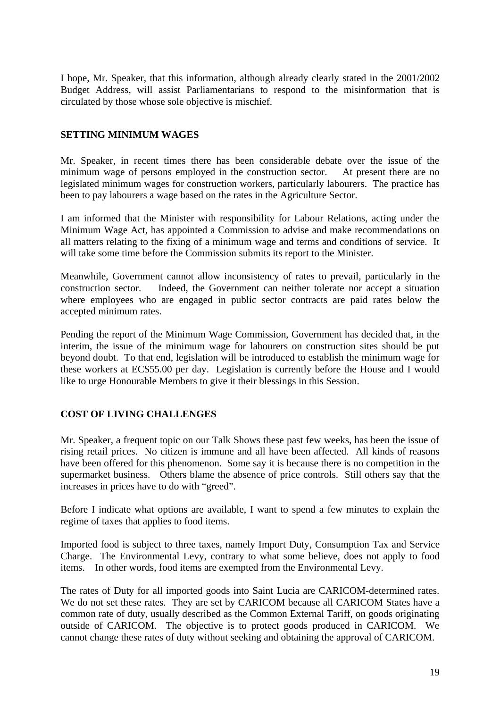I hope, Mr. Speaker, that this information, although already clearly stated in the 2001/2002 Budget Address, will assist Parliamentarians to respond to the misinformation that is circulated by those whose sole objective is mischief.

#### **SETTING MINIMUM WAGES**

Mr. Speaker, in recent times there has been considerable debate over the issue of the minimum wage of persons employed in the construction sector. At present there are no legislated minimum wages for construction workers, particularly labourers. The practice has been to pay labourers a wage based on the rates in the Agriculture Sector.

I am informed that the Minister with responsibility for Labour Relations, acting under the Minimum Wage Act, has appointed a Commission to advise and make recommendations on all matters relating to the fixing of a minimum wage and terms and conditions of service. It will take some time before the Commission submits its report to the Minister.

Meanwhile, Government cannot allow inconsistency of rates to prevail, particularly in the construction sector. Indeed, the Government can neither tolerate nor accept a situation where employees who are engaged in public sector contracts are paid rates below the accepted minimum rates.

Pending the report of the Minimum Wage Commission, Government has decided that, in the interim, the issue of the minimum wage for labourers on construction sites should be put beyond doubt. To that end, legislation will be introduced to establish the minimum wage for these workers at EC\$55.00 per day. Legislation is currently before the House and I would like to urge Honourable Members to give it their blessings in this Session.

#### **COST OF LIVING CHALLENGES**

Mr. Speaker, a frequent topic on our Talk Shows these past few weeks, has been the issue of rising retail prices. No citizen is immune and all have been affected. All kinds of reasons have been offered for this phenomenon. Some say it is because there is no competition in the supermarket business. Others blame the absence of price controls. Still others say that the increases in prices have to do with "greed".

Before I indicate what options are available, I want to spend a few minutes to explain the regime of taxes that applies to food items.

Imported food is subject to three taxes, namely Import Duty, Consumption Tax and Service Charge. The Environmental Levy, contrary to what some believe, does not apply to food items. In other words, food items are exempted from the Environmental Levy.

The rates of Duty for all imported goods into Saint Lucia are CARICOM-determined rates. We do not set these rates. They are set by CARICOM because all CARICOM States have a common rate of duty, usually described as the Common External Tariff, on goods originating outside of CARICOM. The objective is to protect goods produced in CARICOM. We cannot change these rates of duty without seeking and obtaining the approval of CARICOM.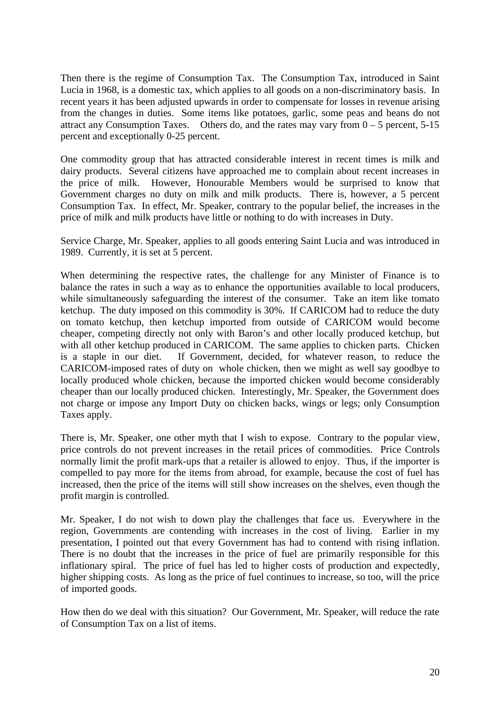Then there is the regime of Consumption Tax. The Consumption Tax, introduced in Saint Lucia in 1968, is a domestic tax, which applies to all goods on a non-discriminatory basis. In recent years it has been adjusted upwards in order to compensate for losses in revenue arising from the changes in duties. Some items like potatoes, garlic, some peas and beans do not attract any Consumption Taxes. Others do, and the rates may vary from  $0 - 5$  percent, 5-15 percent and exceptionally 0-25 percent.

One commodity group that has attracted considerable interest in recent times is milk and dairy products. Several citizens have approached me to complain about recent increases in the price of milk. However, Honourable Members would be surprised to know that Government charges no duty on milk and milk products. There is, however, a 5 percent Consumption Tax. In effect, Mr. Speaker, contrary to the popular belief, the increases in the price of milk and milk products have little or nothing to do with increases in Duty.

Service Charge, Mr. Speaker, applies to all goods entering Saint Lucia and was introduced in 1989. Currently, it is set at 5 percent.

When determining the respective rates, the challenge for any Minister of Finance is to balance the rates in such a way as to enhance the opportunities available to local producers, while simultaneously safeguarding the interest of the consumer. Take an item like tomato ketchup. The duty imposed on this commodity is 30%. If CARICOM had to reduce the duty on tomato ketchup, then ketchup imported from outside of CARICOM would become cheaper, competing directly not only with Baron's and other locally produced ketchup, but with all other ketchup produced in CARICOM. The same applies to chicken parts. Chicken is a staple in our diet. If Government, decided, for whatever reason, to reduce the CARICOM-imposed rates of duty on whole chicken, then we might as well say goodbye to locally produced whole chicken, because the imported chicken would become considerably cheaper than our locally produced chicken. Interestingly, Mr. Speaker, the Government does not charge or impose any Import Duty on chicken backs, wings or legs; only Consumption Taxes apply.

There is, Mr. Speaker, one other myth that I wish to expose. Contrary to the popular view, price controls do not prevent increases in the retail prices of commodities. Price Controls normally limit the profit mark-ups that a retailer is allowed to enjoy. Thus, if the importer is compelled to pay more for the items from abroad, for example, because the cost of fuel has increased, then the price of the items will still show increases on the shelves, even though the profit margin is controlled.

Mr. Speaker, I do not wish to down play the challenges that face us. Everywhere in the region, Governments are contending with increases in the cost of living. Earlier in my presentation, I pointed out that every Government has had to contend with rising inflation. There is no doubt that the increases in the price of fuel are primarily responsible for this inflationary spiral. The price of fuel has led to higher costs of production and expectedly, higher shipping costs. As long as the price of fuel continues to increase, so too, will the price of imported goods.

How then do we deal with this situation? Our Government, Mr. Speaker, will reduce the rate of Consumption Tax on a list of items.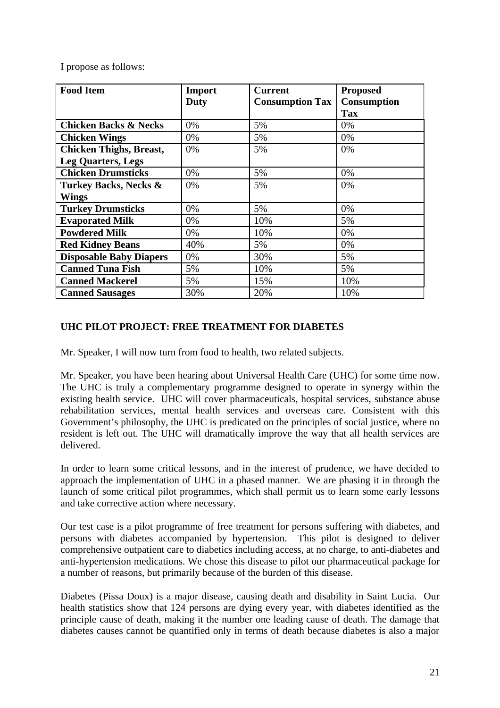I propose as follows:

| <b>Food Item</b>                 | Import | <b>Current</b>         | <b>Proposed</b>    |
|----------------------------------|--------|------------------------|--------------------|
|                                  | Duty   | <b>Consumption Tax</b> | <b>Consumption</b> |
|                                  |        |                        | <b>Tax</b>         |
| <b>Chicken Backs &amp; Necks</b> | 0%     | 5%                     | $0\%$              |
| <b>Chicken Wings</b>             | 0%     | 5%                     | $0\%$              |
| <b>Chicken Thighs, Breast,</b>   | 0%     | 5%                     | 0%                 |
| <b>Leg Quarters, Legs</b>        |        |                        |                    |
| <b>Chicken Drumsticks</b>        | 0%     | 5%                     | 0%                 |
| <b>Turkey Backs, Necks &amp;</b> | 0%     | 5%                     | 0%                 |
| <b>Wings</b>                     |        |                        |                    |
| <b>Turkey Drumsticks</b>         | 0%     | 5%                     | 0%                 |
| <b>Evaporated Milk</b>           | 0%     | 10%                    | 5%                 |
| <b>Powdered Milk</b>             | 0%     | 10%                    | 0%                 |
| <b>Red Kidney Beans</b>          | 40%    | 5%                     | 0%                 |
| <b>Disposable Baby Diapers</b>   | 0%     | 30%                    | 5%                 |
| <b>Canned Tuna Fish</b>          | 5%     | 10%                    | 5%                 |
| <b>Canned Mackerel</b>           | 5%     | 15%                    | 10%                |
| <b>Canned Sausages</b>           | 30%    | 20%                    | 10%                |

#### **UHC PILOT PROJECT: FREE TREATMENT FOR DIABETES**

Mr. Speaker, I will now turn from food to health, two related subjects.

Mr. Speaker, you have been hearing about Universal Health Care (UHC) for some time now. The UHC is truly a complementary programme designed to operate in synergy within the existing health service. UHC will cover pharmaceuticals, hospital services, substance abuse rehabilitation services, mental health services and overseas care. Consistent with this Government's philosophy, the UHC is predicated on the principles of social justice, where no resident is left out. The UHC will dramatically improve the way that all health services are delivered.

In order to learn some critical lessons, and in the interest of prudence, we have decided to approach the implementation of UHC in a phased manner. We are phasing it in through the launch of some critical pilot programmes, which shall permit us to learn some early lessons and take corrective action where necessary.

Our test case is a pilot programme of free treatment for persons suffering with diabetes, and persons with diabetes accompanied by hypertension. This pilot is designed to deliver comprehensive outpatient care to diabetics including access, at no charge, to anti-diabetes and anti-hypertension medications. We chose this disease to pilot our pharmaceutical package for a number of reasons, but primarily because of the burden of this disease.

Diabetes (Pissa Doux) is a major disease, causing death and disability in Saint Lucia. Our health statistics show that 124 persons are dying every year, with diabetes identified as the principle cause of death, making it the number one leading cause of death. The damage that diabetes causes cannot be quantified only in terms of death because diabetes is also a major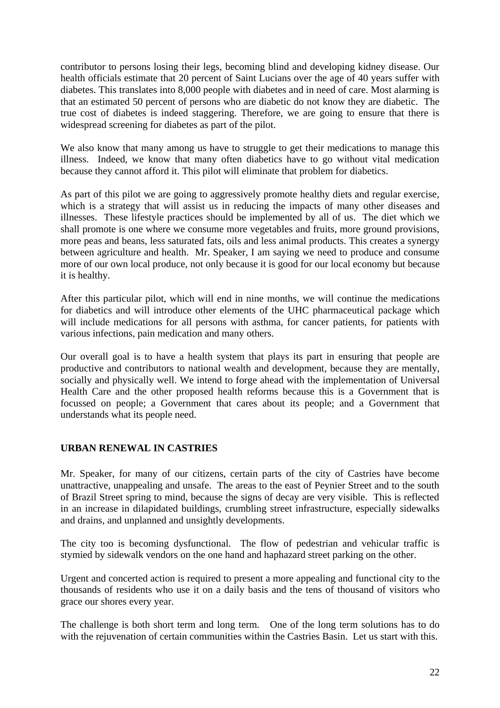contributor to persons losing their legs, becoming blind and developing kidney disease. Our health officials estimate that 20 percent of Saint Lucians over the age of 40 years suffer with diabetes. This translates into 8,000 people with diabetes and in need of care. Most alarming is that an estimated 50 percent of persons who are diabetic do not know they are diabetic. The true cost of diabetes is indeed staggering. Therefore, we are going to ensure that there is widespread screening for diabetes as part of the pilot.

We also know that many among us have to struggle to get their medications to manage this illness. Indeed, we know that many often diabetics have to go without vital medication because they cannot afford it. This pilot will eliminate that problem for diabetics.

As part of this pilot we are going to aggressively promote healthy diets and regular exercise, which is a strategy that will assist us in reducing the impacts of many other diseases and illnesses. These lifestyle practices should be implemented by all of us. The diet which we shall promote is one where we consume more vegetables and fruits, more ground provisions, more peas and beans, less saturated fats, oils and less animal products. This creates a synergy between agriculture and health. Mr. Speaker, I am saying we need to produce and consume more of our own local produce, not only because it is good for our local economy but because it is healthy.

After this particular pilot, which will end in nine months, we will continue the medications for diabetics and will introduce other elements of the UHC pharmaceutical package which will include medications for all persons with asthma, for cancer patients, for patients with various infections, pain medication and many others.

Our overall goal is to have a health system that plays its part in ensuring that people are productive and contributors to national wealth and development, because they are mentally, socially and physically well. We intend to forge ahead with the implementation of Universal Health Care and the other proposed health reforms because this is a Government that is focussed on people; a Government that cares about its people; and a Government that understands what its people need.

#### **URBAN RENEWAL IN CASTRIES**

Mr. Speaker, for many of our citizens, certain parts of the city of Castries have become unattractive, unappealing and unsafe. The areas to the east of Peynier Street and to the south of Brazil Street spring to mind, because the signs of decay are very visible. This is reflected in an increase in dilapidated buildings, crumbling street infrastructure, especially sidewalks and drains, and unplanned and unsightly developments.

The city too is becoming dysfunctional. The flow of pedestrian and vehicular traffic is stymied by sidewalk vendors on the one hand and haphazard street parking on the other.

Urgent and concerted action is required to present a more appealing and functional city to the thousands of residents who use it on a daily basis and the tens of thousand of visitors who grace our shores every year.

The challenge is both short term and long term. One of the long term solutions has to do with the rejuvenation of certain communities within the Castries Basin. Let us start with this.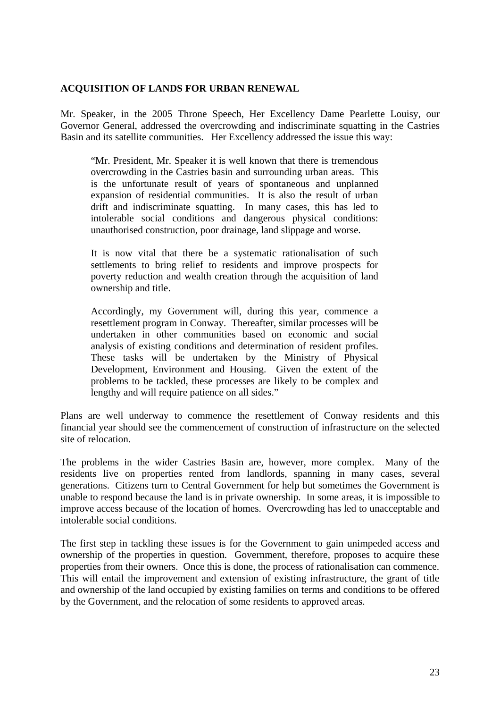#### **ACQUISITION OF LANDS FOR URBAN RENEWAL**

Mr. Speaker, in the 2005 Throne Speech, Her Excellency Dame Pearlette Louisy, our Governor General, addressed the overcrowding and indiscriminate squatting in the Castries Basin and its satellite communities. Her Excellency addressed the issue this way:

"Mr. President, Mr. Speaker it is well known that there is tremendous overcrowding in the Castries basin and surrounding urban areas. This is the unfortunate result of years of spontaneous and unplanned expansion of residential communities. It is also the result of urban drift and indiscriminate squatting. In many cases, this has led to intolerable social conditions and dangerous physical conditions: unauthorised construction, poor drainage, land slippage and worse.

It is now vital that there be a systematic rationalisation of such settlements to bring relief to residents and improve prospects for poverty reduction and wealth creation through the acquisition of land ownership and title.

Accordingly, my Government will, during this year, commence a resettlement program in Conway. Thereafter, similar processes will be undertaken in other communities based on economic and social analysis of existing conditions and determination of resident profiles. These tasks will be undertaken by the Ministry of Physical Development, Environment and Housing. Given the extent of the problems to be tackled, these processes are likely to be complex and lengthy and will require patience on all sides."

Plans are well underway to commence the resettlement of Conway residents and this financial year should see the commencement of construction of infrastructure on the selected site of relocation.

The problems in the wider Castries Basin are, however, more complex. Many of the residents live on properties rented from landlords, spanning in many cases, several generations. Citizens turn to Central Government for help but sometimes the Government is unable to respond because the land is in private ownership. In some areas, it is impossible to improve access because of the location of homes. Overcrowding has led to unacceptable and intolerable social conditions.

The first step in tackling these issues is for the Government to gain unimpeded access and ownership of the properties in question. Government, therefore, proposes to acquire these properties from their owners. Once this is done, the process of rationalisation can commence. This will entail the improvement and extension of existing infrastructure, the grant of title and ownership of the land occupied by existing families on terms and conditions to be offered by the Government, and the relocation of some residents to approved areas.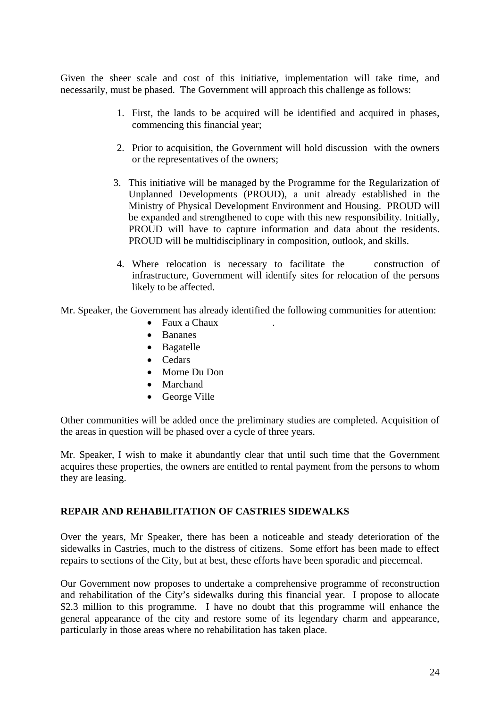Given the sheer scale and cost of this initiative, implementation will take time, and necessarily, must be phased. The Government will approach this challenge as follows:

- 1. First, the lands to be acquired will be identified and acquired in phases, commencing this financial year;
- 2. Prior to acquisition, the Government will hold discussion with the owners or the representatives of the owners;
- 3. This initiative will be managed by the Programme for the Regularization of Unplanned Developments (PROUD), a unit already established in the Ministry of Physical Development Environment and Housing. PROUD will be expanded and strengthened to cope with this new responsibility. Initially, PROUD will have to capture information and data about the residents. PROUD will be multidisciplinary in composition, outlook, and skills.
- 4. Where relocation is necessary to facilitate the construction of infrastructure, Government will identify sites for relocation of the persons likely to be affected.

Mr. Speaker, the Government has already identified the following communities for attention:

- Faux a Chaux
- Bananes
- Bagatelle
- Cedars
- Morne Du Don
- Marchand
- George Ville

Other communities will be added once the preliminary studies are completed. Acquisition of the areas in question will be phased over a cycle of three years.

Mr. Speaker, I wish to make it abundantly clear that until such time that the Government acquires these properties, the owners are entitled to rental payment from the persons to whom they are leasing.

#### **REPAIR AND REHABILITATION OF CASTRIES SIDEWALKS**

Over the years, Mr Speaker, there has been a noticeable and steady deterioration of the sidewalks in Castries, much to the distress of citizens. Some effort has been made to effect repairs to sections of the City, but at best, these efforts have been sporadic and piecemeal.

Our Government now proposes to undertake a comprehensive programme of reconstruction and rehabilitation of the City's sidewalks during this financial year. I propose to allocate \$2.3 million to this programme. I have no doubt that this programme will enhance the general appearance of the city and restore some of its legendary charm and appearance, particularly in those areas where no rehabilitation has taken place.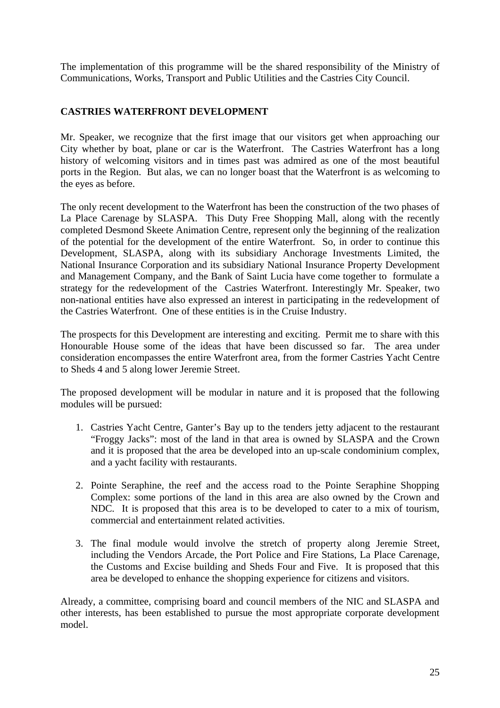The implementation of this programme will be the shared responsibility of the Ministry of Communications, Works, Transport and Public Utilities and the Castries City Council.

#### **CASTRIES WATERFRONT DEVELOPMENT**

Mr. Speaker, we recognize that the first image that our visitors get when approaching our City whether by boat, plane or car is the Waterfront. The Castries Waterfront has a long history of welcoming visitors and in times past was admired as one of the most beautiful ports in the Region. But alas, we can no longer boast that the Waterfront is as welcoming to the eyes as before.

The only recent development to the Waterfront has been the construction of the two phases of La Place Carenage by SLASPA. This Duty Free Shopping Mall, along with the recently completed Desmond Skeete Animation Centre, represent only the beginning of the realization of the potential for the development of the entire Waterfront. So, in order to continue this Development, SLASPA, along with its subsidiary Anchorage Investments Limited, the National Insurance Corporation and its subsidiary National Insurance Property Development and Management Company, and the Bank of Saint Lucia have come together to formulate a strategy for the redevelopment of the Castries Waterfront. Interestingly Mr. Speaker, two non-national entities have also expressed an interest in participating in the redevelopment of the Castries Waterfront. One of these entities is in the Cruise Industry.

The prospects for this Development are interesting and exciting. Permit me to share with this Honourable House some of the ideas that have been discussed so far. The area under consideration encompasses the entire Waterfront area, from the former Castries Yacht Centre to Sheds 4 and 5 along lower Jeremie Street.

The proposed development will be modular in nature and it is proposed that the following modules will be pursued:

- 1. Castries Yacht Centre, Ganter's Bay up to the tenders jetty adjacent to the restaurant "Froggy Jacks": most of the land in that area is owned by SLASPA and the Crown and it is proposed that the area be developed into an up-scale condominium complex, and a yacht facility with restaurants.
- 2. Pointe Seraphine, the reef and the access road to the Pointe Seraphine Shopping Complex: some portions of the land in this area are also owned by the Crown and NDC. It is proposed that this area is to be developed to cater to a mix of tourism, commercial and entertainment related activities.
- 3. The final module would involve the stretch of property along Jeremie Street, including the Vendors Arcade, the Port Police and Fire Stations, La Place Carenage, the Customs and Excise building and Sheds Four and Five. It is proposed that this area be developed to enhance the shopping experience for citizens and visitors.

Already, a committee, comprising board and council members of the NIC and SLASPA and other interests, has been established to pursue the most appropriate corporate development model.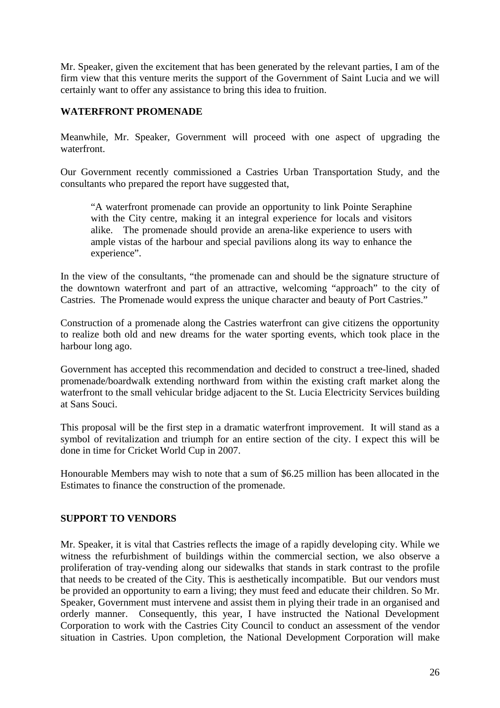Mr. Speaker, given the excitement that has been generated by the relevant parties, I am of the firm view that this venture merits the support of the Government of Saint Lucia and we will certainly want to offer any assistance to bring this idea to fruition.

#### **WATERFRONT PROMENADE**

Meanwhile, Mr. Speaker, Government will proceed with one aspect of upgrading the waterfront.

Our Government recently commissioned a Castries Urban Transportation Study, and the consultants who prepared the report have suggested that,

"A waterfront promenade can provide an opportunity to link Pointe Seraphine with the City centre, making it an integral experience for locals and visitors alike. The promenade should provide an arena-like experience to users with ample vistas of the harbour and special pavilions along its way to enhance the experience".

In the view of the consultants, "the promenade can and should be the signature structure of the downtown waterfront and part of an attractive, welcoming "approach" to the city of Castries. The Promenade would express the unique character and beauty of Port Castries."

Construction of a promenade along the Castries waterfront can give citizens the opportunity to realize both old and new dreams for the water sporting events, which took place in the harbour long ago.

Government has accepted this recommendation and decided to construct a tree-lined, shaded promenade/boardwalk extending northward from within the existing craft market along the waterfront to the small vehicular bridge adjacent to the St. Lucia Electricity Services building at Sans Souci.

This proposal will be the first step in a dramatic waterfront improvement. It will stand as a symbol of revitalization and triumph for an entire section of the city. I expect this will be done in time for Cricket World Cup in 2007.

Honourable Members may wish to note that a sum of \$6.25 million has been allocated in the Estimates to finance the construction of the promenade.

#### **SUPPORT TO VENDORS**

Mr. Speaker, it is vital that Castries reflects the image of a rapidly developing city. While we witness the refurbishment of buildings within the commercial section, we also observe a proliferation of tray-vending along our sidewalks that stands in stark contrast to the profile that needs to be created of the City. This is aesthetically incompatible. But our vendors must be provided an opportunity to earn a living; they must feed and educate their children. So Mr. Speaker, Government must intervene and assist them in plying their trade in an organised and orderly manner. Consequently, this year, I have instructed the National Development Corporation to work with the Castries City Council to conduct an assessment of the vendor situation in Castries. Upon completion, the National Development Corporation will make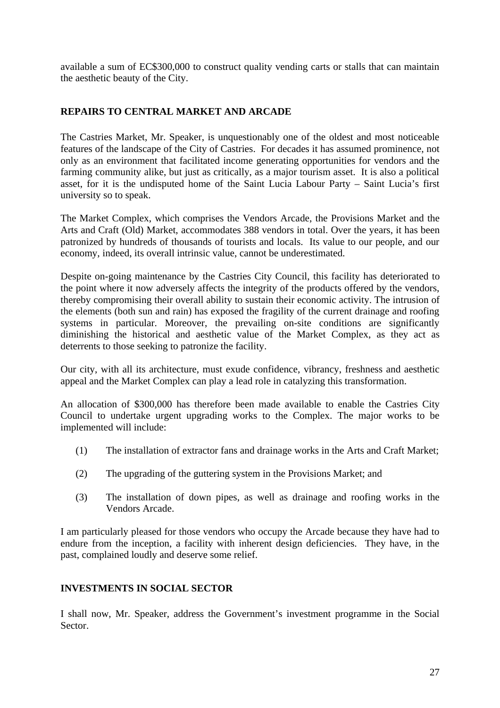available a sum of EC\$300,000 to construct quality vending carts or stalls that can maintain the aesthetic beauty of the City.

#### **REPAIRS TO CENTRAL MARKET AND ARCADE**

The Castries Market, Mr. Speaker, is unquestionably one of the oldest and most noticeable features of the landscape of the City of Castries. For decades it has assumed prominence, not only as an environment that facilitated income generating opportunities for vendors and the farming community alike, but just as critically, as a major tourism asset. It is also a political asset, for it is the undisputed home of the Saint Lucia Labour Party – Saint Lucia's first university so to speak.

The Market Complex, which comprises the Vendors Arcade, the Provisions Market and the Arts and Craft (Old) Market, accommodates 388 vendors in total. Over the years, it has been patronized by hundreds of thousands of tourists and locals. Its value to our people, and our economy, indeed, its overall intrinsic value, cannot be underestimated.

Despite on-going maintenance by the Castries City Council, this facility has deteriorated to the point where it now adversely affects the integrity of the products offered by the vendors, thereby compromising their overall ability to sustain their economic activity. The intrusion of the elements (both sun and rain) has exposed the fragility of the current drainage and roofing systems in particular. Moreover, the prevailing on-site conditions are significantly diminishing the historical and aesthetic value of the Market Complex, as they act as deterrents to those seeking to patronize the facility.

Our city, with all its architecture, must exude confidence, vibrancy, freshness and aesthetic appeal and the Market Complex can play a lead role in catalyzing this transformation.

An allocation of \$300,000 has therefore been made available to enable the Castries City Council to undertake urgent upgrading works to the Complex. The major works to be implemented will include:

- (1) The installation of extractor fans and drainage works in the Arts and Craft Market;
- (2) The upgrading of the guttering system in the Provisions Market; and
- (3) The installation of down pipes, as well as drainage and roofing works in the Vendors Arcade.

I am particularly pleased for those vendors who occupy the Arcade because they have had to endure from the inception, a facility with inherent design deficiencies. They have, in the past, complained loudly and deserve some relief.

#### **INVESTMENTS IN SOCIAL SECTOR**

I shall now, Mr. Speaker, address the Government's investment programme in the Social Sector.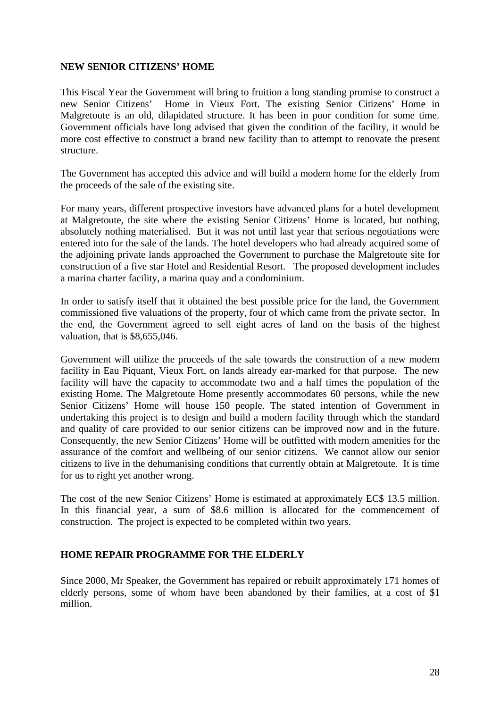#### **NEW SENIOR CITIZENS' HOME**

This Fiscal Year the Government will bring to fruition a long standing promise to construct a new Senior Citizens' Home in Vieux Fort. The existing Senior Citizens' Home in Malgretoute is an old, dilapidated structure. It has been in poor condition for some time. Government officials have long advised that given the condition of the facility, it would be more cost effective to construct a brand new facility than to attempt to renovate the present structure.

The Government has accepted this advice and will build a modern home for the elderly from the proceeds of the sale of the existing site.

For many years, different prospective investors have advanced plans for a hotel development at Malgretoute, the site where the existing Senior Citizens' Home is located, but nothing, absolutely nothing materialised. But it was not until last year that serious negotiations were entered into for the sale of the lands. The hotel developers who had already acquired some of the adjoining private lands approached the Government to purchase the Malgretoute site for construction of a five star Hotel and Residential Resort. The proposed development includes a marina charter facility, a marina quay and a condominium.

In order to satisfy itself that it obtained the best possible price for the land, the Government commissioned five valuations of the property, four of which came from the private sector. In the end, the Government agreed to sell eight acres of land on the basis of the highest valuation, that is \$8,655,046.

Government will utilize the proceeds of the sale towards the construction of a new modern facility in Eau Piquant, Vieux Fort, on lands already ear-marked for that purpose. The new facility will have the capacity to accommodate two and a half times the population of the existing Home. The Malgretoute Home presently accommodates 60 persons, while the new Senior Citizens' Home will house 150 people. The stated intention of Government in undertaking this project is to design and build a modern facility through which the standard and quality of care provided to our senior citizens can be improved now and in the future. Consequently, the new Senior Citizens' Home will be outfitted with modern amenities for the assurance of the comfort and wellbeing of our senior citizens. We cannot allow our senior citizens to live in the dehumanising conditions that currently obtain at Malgretoute. It is time for us to right yet another wrong.

The cost of the new Senior Citizens' Home is estimated at approximately EC\$ 13.5 million. In this financial year, a sum of \$8.6 million is allocated for the commencement of construction. The project is expected to be completed within two years.

#### **HOME REPAIR PROGRAMME FOR THE ELDERLY**

Since 2000, Mr Speaker, the Government has repaired or rebuilt approximately 171 homes of elderly persons, some of whom have been abandoned by their families, at a cost of \$1 million.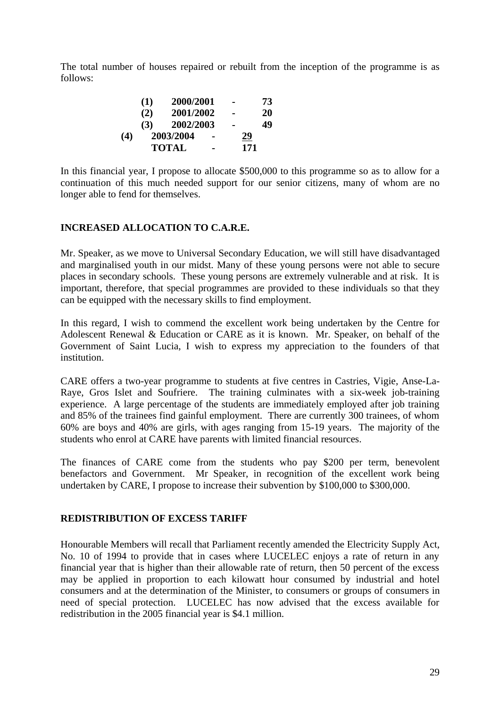The total number of houses repaired or rebuilt from the inception of the programme is as follows:

|     | (1) | 2000/2001    |                | $\blacksquare$ | 73 |  |
|-----|-----|--------------|----------------|----------------|----|--|
|     | (2) | 2001/2002    |                | $\blacksquare$ | 20 |  |
|     | (3) | 2002/2003    |                | $\blacksquare$ | 49 |  |
| (4) |     | 2003/2004    |                | 29             |    |  |
|     |     | <b>TOTAL</b> | $\blacksquare$ | 171            |    |  |

In this financial year, I propose to allocate \$500,000 to this programme so as to allow for a continuation of this much needed support for our senior citizens, many of whom are no longer able to fend for themselves.

#### **INCREASED ALLOCATION TO C.A.R.E.**

Mr. Speaker, as we move to Universal Secondary Education, we will still have disadvantaged and marginalised youth in our midst. Many of these young persons were not able to secure places in secondary schools. These young persons are extremely vulnerable and at risk. It is important, therefore, that special programmes are provided to these individuals so that they can be equipped with the necessary skills to find employment.

In this regard, I wish to commend the excellent work being undertaken by the Centre for Adolescent Renewal & Education or CARE as it is known. Mr. Speaker, on behalf of the Government of Saint Lucia, I wish to express my appreciation to the founders of that institution.

CARE offers a two-year programme to students at five centres in Castries, Vigie, Anse-La-Raye, Gros Islet and Soufriere. The training culminates with a six-week job-training experience. A large percentage of the students are immediately employed after job training and 85% of the trainees find gainful employment. There are currently 300 trainees, of whom 60% are boys and 40% are girls, with ages ranging from 15-19 years. The majority of the students who enrol at CARE have parents with limited financial resources.

The finances of CARE come from the students who pay \$200 per term, benevolent benefactors and Government. Mr Speaker, in recognition of the excellent work being undertaken by CARE, I propose to increase their subvention by \$100,000 to \$300,000.

#### **REDISTRIBUTION OF EXCESS TARIFF**

Honourable Members will recall that Parliament recently amended the Electricity Supply Act, No. 10 of 1994 to provide that in cases where LUCELEC enjoys a rate of return in any financial year that is higher than their allowable rate of return, then 50 percent of the excess may be applied in proportion to each kilowatt hour consumed by industrial and hotel consumers and at the determination of the Minister, to consumers or groups of consumers in need of special protection. LUCELEC has now advised that the excess available for redistribution in the 2005 financial year is \$4.1 million.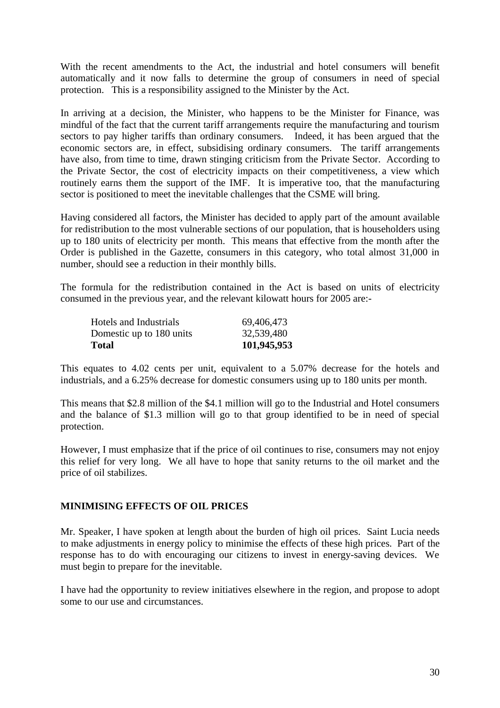With the recent amendments to the Act, the industrial and hotel consumers will benefit automatically and it now falls to determine the group of consumers in need of special protection. This is a responsibility assigned to the Minister by the Act.

In arriving at a decision, the Minister, who happens to be the Minister for Finance, was mindful of the fact that the current tariff arrangements require the manufacturing and tourism sectors to pay higher tariffs than ordinary consumers. Indeed, it has been argued that the economic sectors are, in effect, subsidising ordinary consumers. The tariff arrangements have also, from time to time, drawn stinging criticism from the Private Sector. According to the Private Sector, the cost of electricity impacts on their competitiveness, a view which routinely earns them the support of the IMF. It is imperative too, that the manufacturing sector is positioned to meet the inevitable challenges that the CSME will bring.

Having considered all factors, the Minister has decided to apply part of the amount available for redistribution to the most vulnerable sections of our population, that is householders using up to 180 units of electricity per month. This means that effective from the month after the Order is published in the Gazette, consumers in this category, who total almost 31,000 in number, should see a reduction in their monthly bills.

The formula for the redistribution contained in the Act is based on units of electricity consumed in the previous year, and the relevant kilowatt hours for 2005 are:-

| 101,945,953 |
|-------------|
| 32,539,480  |
| 69,406,473  |
|             |

This equates to 4.02 cents per unit, equivalent to a 5.07% decrease for the hotels and industrials, and a 6.25% decrease for domestic consumers using up to 180 units per month.

This means that \$2.8 million of the \$4.1 million will go to the Industrial and Hotel consumers and the balance of \$1.3 million will go to that group identified to be in need of special protection.

However, I must emphasize that if the price of oil continues to rise, consumers may not enjoy this relief for very long. We all have to hope that sanity returns to the oil market and the price of oil stabilizes.

#### **MINIMISING EFFECTS OF OIL PRICES**

Mr. Speaker, I have spoken at length about the burden of high oil prices. Saint Lucia needs to make adjustments in energy policy to minimise the effects of these high prices. Part of the response has to do with encouraging our citizens to invest in energy-saving devices. We must begin to prepare for the inevitable.

I have had the opportunity to review initiatives elsewhere in the region, and propose to adopt some to our use and circumstances.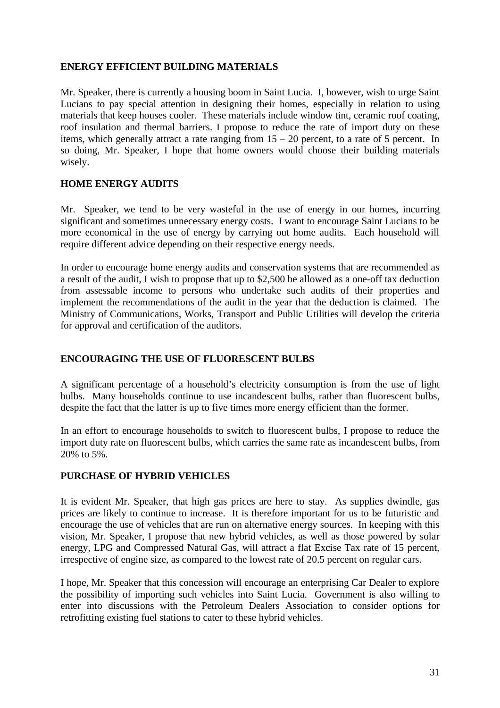#### **ENERGY EFFICIENT BUILDING MATERIALS**

Mr. Speaker, there is currently a housing boom in Saint Lucia. I, however, wish to urge Saint Lucians to pay special attention in designing their homes, especially in relation to using materials that keep houses cooler. These materials include window tint, ceramic roof coating, roof insulation and thermal barriers. I propose to reduce the rate of import duty on these items, which generally attract a rate ranging from  $15 - 20$  percent, to a rate of 5 percent. In so doing, Mr. Speaker, I hope that home owners would choose their building materials wisely.

#### **HOME ENERGY AUDITS**

Mr. Speaker, we tend to be very wasteful in the use of energy in our homes, incurring significant and sometimes unnecessary energy costs. I want to encourage Saint Lucians to be more economical in the use of energy by carrying out home audits. Each household will require different advice depending on their respective energy needs.

In order to encourage home energy audits and conservation systems that are recommended as a result of the audit, I wish to propose that up to \$2,500 be allowed as a one-off tax deduction from assessable income to persons who undertake such audits of their properties and implement the recommendations of the audit in the year that the deduction is claimed. The Ministry of Communications, Works, Transport and Public Utilities will develop the criteria for approval and certification of the auditors.

#### **ENCOURAGING THE USE OF FLUORESCENT BULBS**

A significant percentage of a household's electricity consumption is from the use of light bulbs. Many households continue to use incandescent bulbs, rather than fluorescent bulbs, despite the fact that the latter is up to five times more energy efficient than the former.

In an effort to encourage households to switch to fluorescent bulbs, I propose to reduce the import duty rate on fluorescent bulbs, which carries the same rate as incandescent bulbs, from 20% to 5%.

#### **PURCHASE OF HYBRID VEHICLES**

It is evident Mr. Speaker, that high gas prices are here to stay. As supplies dwindle, gas prices are likely to continue to increase. It is therefore important for us to be futuristic and encourage the use of vehicles that are run on alternative energy sources. In keeping with this vision, Mr. Speaker, I propose that new hybrid vehicles, as well as those powered by solar energy, LPG and Compressed Natural Gas, will attract a flat Excise Tax rate of 15 percent, irrespective of engine size, as compared to the lowest rate of 20.5 percent on regular cars.

I hope, Mr. Speaker that this concession will encourage an enterprising Car Dealer to explore the possibility of importing such vehicles into Saint Lucia. Government is also willing to enter into discussions with the Petroleum Dealers Association to consider options for retrofitting existing fuel stations to cater to these hybrid vehicles.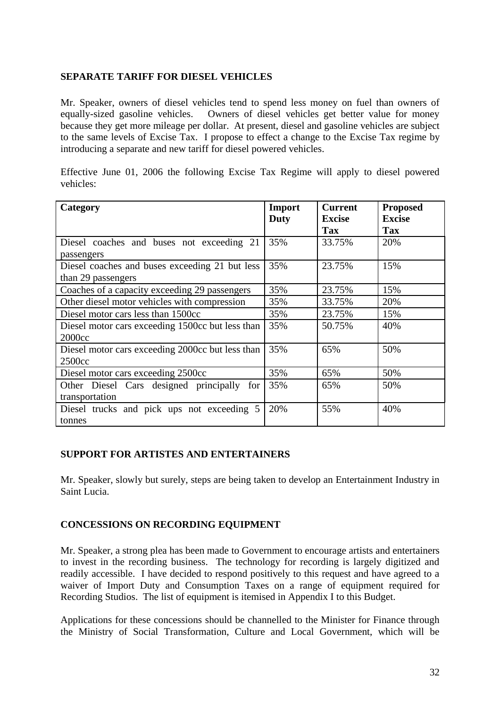#### **SEPARATE TARIFF FOR DIESEL VEHICLES**

Mr. Speaker, owners of diesel vehicles tend to spend less money on fuel than owners of equally-sized gasoline vehicles. Owners of diesel vehicles get better value for money because they get more mileage per dollar. At present, diesel and gasoline vehicles are subject to the same levels of Excise Tax. I propose to effect a change to the Excise Tax regime by introducing a separate and new tariff for diesel powered vehicles.

Effective June 01, 2006 the following Excise Tax Regime will apply to diesel powered vehicles:

| Category                                         | <b>Import</b> | <b>Current</b> | <b>Proposed</b> |
|--------------------------------------------------|---------------|----------------|-----------------|
|                                                  | <b>Duty</b>   | <b>Excise</b>  | <b>Excise</b>   |
|                                                  |               | <b>Tax</b>     | <b>Tax</b>      |
| Diesel coaches and buses not exceeding 21        | 35%           | 33.75%         | 20%             |
| passengers                                       |               |                |                 |
| Diesel coaches and buses exceeding 21 but less   | 35%           | 23.75%         | 15%             |
| than 29 passengers                               |               |                |                 |
| Coaches of a capacity exceeding 29 passengers    | 35%           | 23.75%         | 15%             |
| Other diesel motor vehicles with compression     | 35%           | 33.75%         | 20%             |
| Diesel motor cars less than 1500cc               | 35%           | 23.75%         | 15%             |
| Diesel motor cars exceeding 1500cc but less than | 35%           | 50.75%         | 40%             |
| 2000cc                                           |               |                |                 |
| Diesel motor cars exceeding 2000cc but less than | 35%           | 65%            | 50%             |
| 2500cc                                           |               |                |                 |
| Diesel motor cars exceeding 2500cc               | 35%           | 65%            | 50%             |
| Other Diesel Cars designed principally for       | 35%           | 65%            | 50%             |
| transportation                                   |               |                |                 |
| Diesel trucks and pick ups not exceeding 5       | 20%           | 55%            | 40%             |
| tonnes                                           |               |                |                 |

#### **SUPPORT FOR ARTISTES AND ENTERTAINERS**

Mr. Speaker, slowly but surely, steps are being taken to develop an Entertainment Industry in Saint Lucia.

#### **CONCESSIONS ON RECORDING EQUIPMENT**

Mr. Speaker, a strong plea has been made to Government to encourage artists and entertainers to invest in the recording business. The technology for recording is largely digitized and readily accessible. I have decided to respond positively to this request and have agreed to a waiver of Import Duty and Consumption Taxes on a range of equipment required for Recording Studios. The list of equipment is itemised in Appendix I to this Budget.

Applications for these concessions should be channelled to the Minister for Finance through the Ministry of Social Transformation, Culture and Local Government, which will be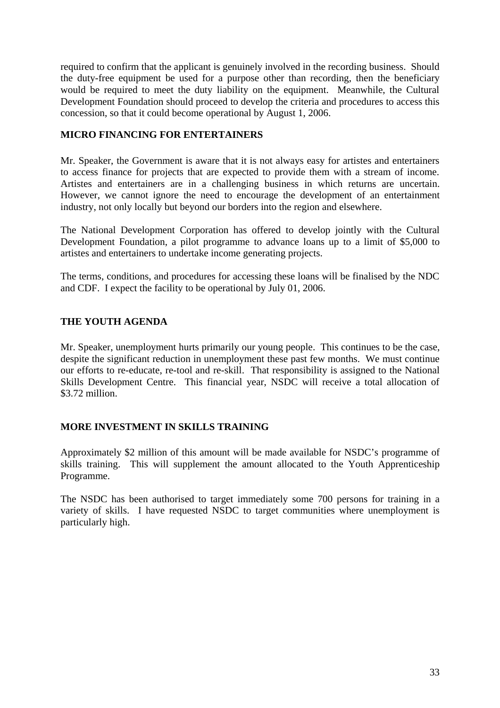required to confirm that the applicant is genuinely involved in the recording business. Should the duty-free equipment be used for a purpose other than recording, then the beneficiary would be required to meet the duty liability on the equipment. Meanwhile, the Cultural Development Foundation should proceed to develop the criteria and procedures to access this concession, so that it could become operational by August 1, 2006.

#### **MICRO FINANCING FOR ENTERTAINERS**

Mr. Speaker, the Government is aware that it is not always easy for artistes and entertainers to access finance for projects that are expected to provide them with a stream of income. Artistes and entertainers are in a challenging business in which returns are uncertain. However, we cannot ignore the need to encourage the development of an entertainment industry, not only locally but beyond our borders into the region and elsewhere.

The National Development Corporation has offered to develop jointly with the Cultural Development Foundation, a pilot programme to advance loans up to a limit of \$5,000 to artistes and entertainers to undertake income generating projects.

The terms, conditions, and procedures for accessing these loans will be finalised by the NDC and CDF. I expect the facility to be operational by July 01, 2006.

#### **THE YOUTH AGENDA**

Mr. Speaker, unemployment hurts primarily our young people. This continues to be the case, despite the significant reduction in unemployment these past few months. We must continue our efforts to re-educate, re-tool and re-skill. That responsibility is assigned to the National Skills Development Centre. This financial year, NSDC will receive a total allocation of \$3.72 million.

#### **MORE INVESTMENT IN SKILLS TRAINING**

Approximately \$2 million of this amount will be made available for NSDC's programme of skills training. This will supplement the amount allocated to the Youth Apprenticeship Programme.

The NSDC has been authorised to target immediately some 700 persons for training in a variety of skills. I have requested NSDC to target communities where unemployment is particularly high.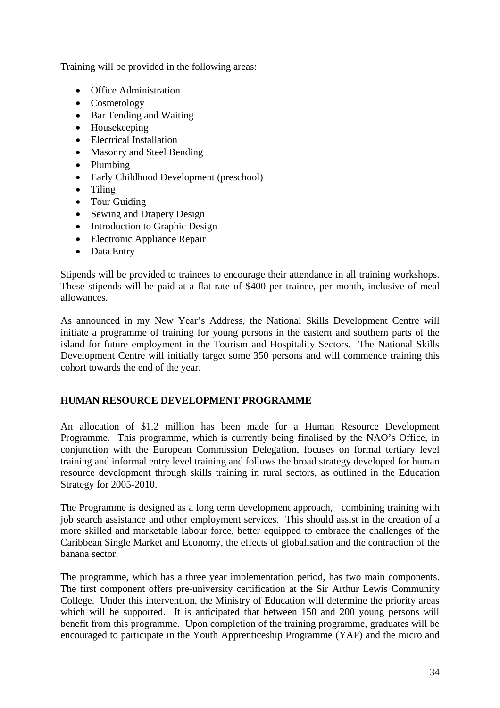Training will be provided in the following areas:

- Office Administration
- Cosmetology
- Bar Tending and Waiting
- Housekeeping
- Electrical Installation
- Masonry and Steel Bending
- Plumbing
- Early Childhood Development (preschool)
- Tiling
- Tour Guiding
- Sewing and Drapery Design
- Introduction to Graphic Design
- Electronic Appliance Repair
- Data Entry

Stipends will be provided to trainees to encourage their attendance in all training workshops. These stipends will be paid at a flat rate of \$400 per trainee, per month, inclusive of meal allowances.

As announced in my New Year's Address, the National Skills Development Centre will initiate a programme of training for young persons in the eastern and southern parts of the island for future employment in the Tourism and Hospitality Sectors. The National Skills Development Centre will initially target some 350 persons and will commence training this cohort towards the end of the year.

#### **HUMAN RESOURCE DEVELOPMENT PROGRAMME**

An allocation of \$1.2 million has been made for a Human Resource Development Programme. This programme, which is currently being finalised by the NAO's Office, in conjunction with the European Commission Delegation, focuses on formal tertiary level training and informal entry level training and follows the broad strategy developed for human resource development through skills training in rural sectors, as outlined in the Education Strategy for 2005-2010.

The Programme is designed as a long term development approach, combining training with job search assistance and other employment services. This should assist in the creation of a more skilled and marketable labour force, better equipped to embrace the challenges of the Caribbean Single Market and Economy, the effects of globalisation and the contraction of the banana sector.

The programme, which has a three year implementation period, has two main components. The first component offers pre-university certification at the Sir Arthur Lewis Community College. Under this intervention, the Ministry of Education will determine the priority areas which will be supported. It is anticipated that between 150 and 200 young persons will benefit from this programme. Upon completion of the training programme, graduates will be encouraged to participate in the Youth Apprenticeship Programme (YAP) and the micro and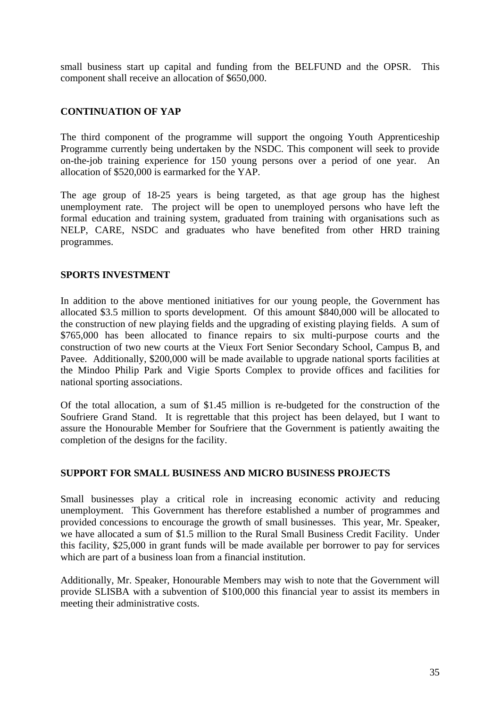small business start up capital and funding from the BELFUND and the OPSR. This component shall receive an allocation of \$650,000.

#### **CONTINUATION OF YAP**

The third component of the programme will support the ongoing Youth Apprenticeship Programme currently being undertaken by the NSDC. This component will seek to provide on-the-job training experience for 150 young persons over a period of one year. An allocation of \$520,000 is earmarked for the YAP.

The age group of 18-25 years is being targeted, as that age group has the highest unemployment rate. The project will be open to unemployed persons who have left the formal education and training system, graduated from training with organisations such as NELP, CARE, NSDC and graduates who have benefited from other HRD training programmes.

#### **SPORTS INVESTMENT**

In addition to the above mentioned initiatives for our young people, the Government has allocated \$3.5 million to sports development. Of this amount \$840,000 will be allocated to the construction of new playing fields and the upgrading of existing playing fields. A sum of \$765,000 has been allocated to finance repairs to six multi-purpose courts and the construction of two new courts at the Vieux Fort Senior Secondary School, Campus B, and Pavee. Additionally, \$200,000 will be made available to upgrade national sports facilities at the Mindoo Philip Park and Vigie Sports Complex to provide offices and facilities for national sporting associations.

Of the total allocation, a sum of \$1.45 million is re-budgeted for the construction of the Soufriere Grand Stand. It is regrettable that this project has been delayed, but I want to assure the Honourable Member for Soufriere that the Government is patiently awaiting the completion of the designs for the facility.

#### **SUPPORT FOR SMALL BUSINESS AND MICRO BUSINESS PROJECTS**

Small businesses play a critical role in increasing economic activity and reducing unemployment. This Government has therefore established a number of programmes and provided concessions to encourage the growth of small businesses. This year, Mr. Speaker, we have allocated a sum of \$1.5 million to the Rural Small Business Credit Facility. Under this facility, \$25,000 in grant funds will be made available per borrower to pay for services which are part of a business loan from a financial institution.

Additionally, Mr. Speaker, Honourable Members may wish to note that the Government will provide SLISBA with a subvention of \$100,000 this financial year to assist its members in meeting their administrative costs.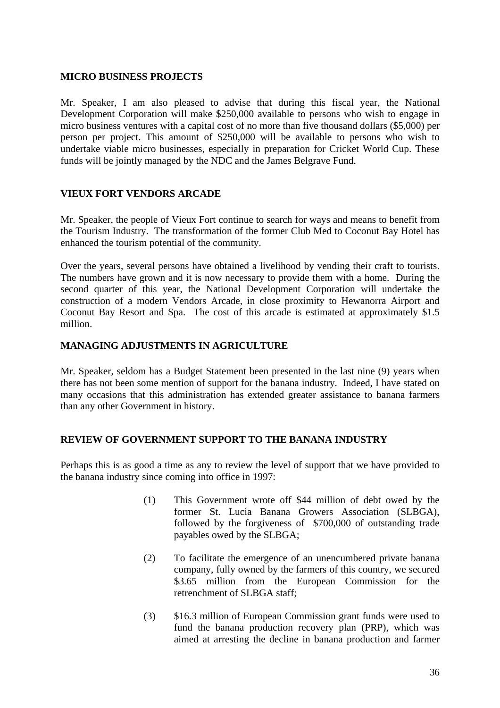#### **MICRO BUSINESS PROJECTS**

Mr. Speaker, I am also pleased to advise that during this fiscal year, the National Development Corporation will make \$250,000 available to persons who wish to engage in micro business ventures with a capital cost of no more than five thousand dollars (\$5,000) per person per project. This amount of \$250,000 will be available to persons who wish to undertake viable micro businesses, especially in preparation for Cricket World Cup. These funds will be jointly managed by the NDC and the James Belgrave Fund.

#### **VIEUX FORT VENDORS ARCADE**

Mr. Speaker, the people of Vieux Fort continue to search for ways and means to benefit from the Tourism Industry. The transformation of the former Club Med to Coconut Bay Hotel has enhanced the tourism potential of the community.

Over the years, several persons have obtained a livelihood by vending their craft to tourists. The numbers have grown and it is now necessary to provide them with a home. During the second quarter of this year, the National Development Corporation will undertake the construction of a modern Vendors Arcade, in close proximity to Hewanorra Airport and Coconut Bay Resort and Spa. The cost of this arcade is estimated at approximately \$1.5 million.

#### **MANAGING ADJUSTMENTS IN AGRICULTURE**

Mr. Speaker, seldom has a Budget Statement been presented in the last nine (9) years when there has not been some mention of support for the banana industry. Indeed, I have stated on many occasions that this administration has extended greater assistance to banana farmers than any other Government in history.

#### **REVIEW OF GOVERNMENT SUPPORT TO THE BANANA INDUSTRY**

Perhaps this is as good a time as any to review the level of support that we have provided to the banana industry since coming into office in 1997:

- (1) This Government wrote off \$44 million of debt owed by the former St. Lucia Banana Growers Association (SLBGA), followed by the forgiveness of \$700,000 of outstanding trade payables owed by the SLBGA;
- (2) To facilitate the emergence of an unencumbered private banana company, fully owned by the farmers of this country, we secured \$3.65 million from the European Commission for the retrenchment of SLBGA staff;
- (3) \$16.3 million of European Commission grant funds were used to fund the banana production recovery plan (PRP), which was aimed at arresting the decline in banana production and farmer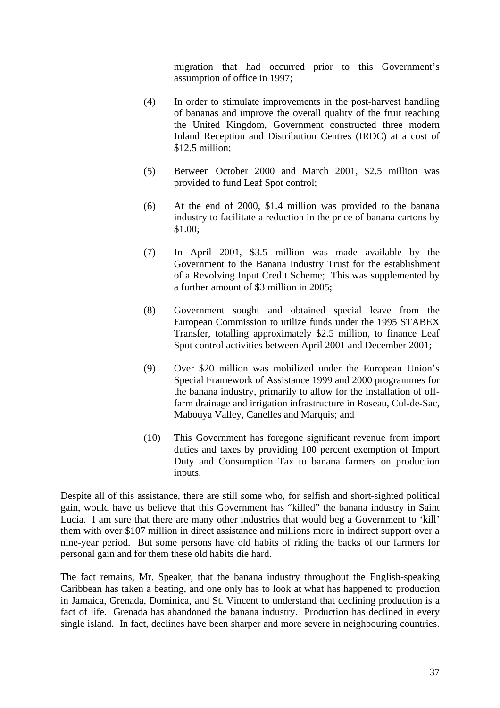migration that had occurred prior to this Government's assumption of office in 1997;

- (4) In order to stimulate improvements in the post-harvest handling of bananas and improve the overall quality of the fruit reaching the United Kingdom, Government constructed three modern Inland Reception and Distribution Centres (IRDC) at a cost of \$12.5 million;
- (5) Between October 2000 and March 2001, \$2.5 million was provided to fund Leaf Spot control;
- (6) At the end of 2000, \$1.4 million was provided to the banana industry to facilitate a reduction in the price of banana cartons by \$1.00;
- (7) In April 2001, \$3.5 million was made available by the Government to the Banana Industry Trust for the establishment of a Revolving Input Credit Scheme; This was supplemented by a further amount of \$3 million in 2005;
- (8) Government sought and obtained special leave from the European Commission to utilize funds under the 1995 STABEX Transfer, totalling approximately \$2.5 million, to finance Leaf Spot control activities between April 2001 and December 2001;
- (9) Over \$20 million was mobilized under the European Union's Special Framework of Assistance 1999 and 2000 programmes for the banana industry, primarily to allow for the installation of offfarm drainage and irrigation infrastructure in Roseau, Cul-de-Sac, Mabouya Valley, Canelles and Marquis; and
- (10) This Government has foregone significant revenue from import duties and taxes by providing 100 percent exemption of Import Duty and Consumption Tax to banana farmers on production inputs.

Despite all of this assistance, there are still some who, for selfish and short-sighted political gain, would have us believe that this Government has "killed" the banana industry in Saint Lucia. I am sure that there are many other industries that would beg a Government to 'kill' them with over \$107 million in direct assistance and millions more in indirect support over a nine-year period. But some persons have old habits of riding the backs of our farmers for personal gain and for them these old habits die hard.

The fact remains, Mr. Speaker, that the banana industry throughout the English-speaking Caribbean has taken a beating, and one only has to look at what has happened to production in Jamaica, Grenada, Dominica, and St. Vincent to understand that declining production is a fact of life. Grenada has abandoned the banana industry. Production has declined in every single island. In fact, declines have been sharper and more severe in neighbouring countries.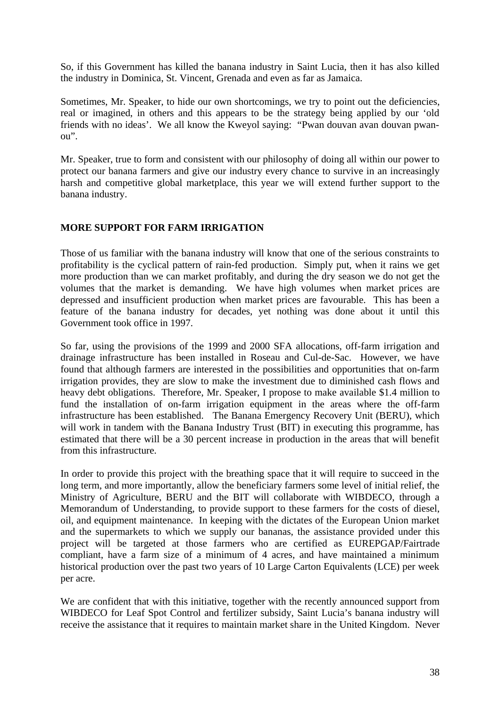So, if this Government has killed the banana industry in Saint Lucia, then it has also killed the industry in Dominica, St. Vincent, Grenada and even as far as Jamaica.

Sometimes, Mr. Speaker, to hide our own shortcomings, we try to point out the deficiencies, real or imagined, in others and this appears to be the strategy being applied by our 'old friends with no ideas'. We all know the Kweyol saying: "Pwan douvan avan douvan pwanou".

Mr. Speaker, true to form and consistent with our philosophy of doing all within our power to protect our banana farmers and give our industry every chance to survive in an increasingly harsh and competitive global marketplace, this year we will extend further support to the banana industry.

#### **MORE SUPPORT FOR FARM IRRIGATION**

Those of us familiar with the banana industry will know that one of the serious constraints to profitability is the cyclical pattern of rain-fed production. Simply put, when it rains we get more production than we can market profitably, and during the dry season we do not get the volumes that the market is demanding. We have high volumes when market prices are depressed and insufficient production when market prices are favourable. This has been a feature of the banana industry for decades, yet nothing was done about it until this Government took office in 1997.

So far, using the provisions of the 1999 and 2000 SFA allocations, off-farm irrigation and drainage infrastructure has been installed in Roseau and Cul-de-Sac. However, we have found that although farmers are interested in the possibilities and opportunities that on-farm irrigation provides, they are slow to make the investment due to diminished cash flows and heavy debt obligations. Therefore, Mr. Speaker, I propose to make available \$1.4 million to fund the installation of on-farm irrigation equipment in the areas where the off-farm infrastructure has been established. The Banana Emergency Recovery Unit (BERU), which will work in tandem with the Banana Industry Trust (BIT) in executing this programme, has estimated that there will be a 30 percent increase in production in the areas that will benefit from this infrastructure.

In order to provide this project with the breathing space that it will require to succeed in the long term, and more importantly, allow the beneficiary farmers some level of initial relief, the Ministry of Agriculture, BERU and the BIT will collaborate with WIBDECO, through a Memorandum of Understanding, to provide support to these farmers for the costs of diesel, oil, and equipment maintenance. In keeping with the dictates of the European Union market and the supermarkets to which we supply our bananas, the assistance provided under this project will be targeted at those farmers who are certified as EUREPGAP/Fairtrade compliant, have a farm size of a minimum of 4 acres, and have maintained a minimum historical production over the past two years of 10 Large Carton Equivalents (LCE) per week per acre.

We are confident that with this initiative, together with the recently announced support from WIBDECO for Leaf Spot Control and fertilizer subsidy, Saint Lucia's banana industry will receive the assistance that it requires to maintain market share in the United Kingdom. Never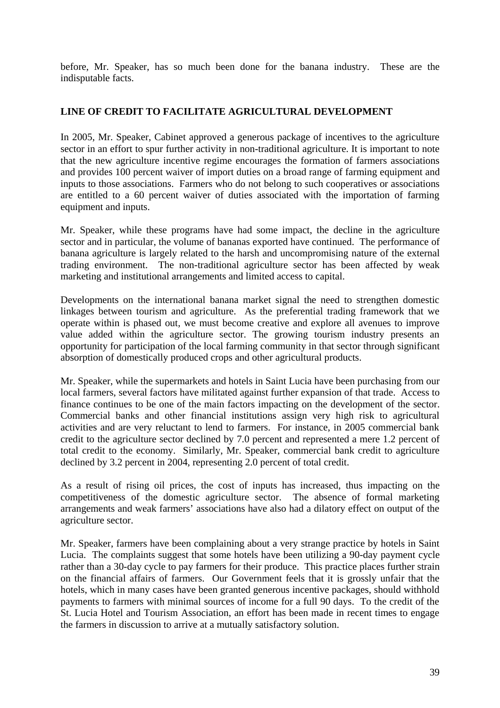before, Mr. Speaker, has so much been done for the banana industry. These are the indisputable facts.

#### **LINE OF CREDIT TO FACILITATE AGRICULTURAL DEVELOPMENT**

In 2005, Mr. Speaker, Cabinet approved a generous package of incentives to the agriculture sector in an effort to spur further activity in non-traditional agriculture. It is important to note that the new agriculture incentive regime encourages the formation of farmers associations and provides 100 percent waiver of import duties on a broad range of farming equipment and inputs to those associations. Farmers who do not belong to such cooperatives or associations are entitled to a 60 percent waiver of duties associated with the importation of farming equipment and inputs.

Mr. Speaker, while these programs have had some impact, the decline in the agriculture sector and in particular, the volume of bananas exported have continued. The performance of banana agriculture is largely related to the harsh and uncompromising nature of the external trading environment. The non-traditional agriculture sector has been affected by weak marketing and institutional arrangements and limited access to capital.

Developments on the international banana market signal the need to strengthen domestic linkages between tourism and agriculture. As the preferential trading framework that we operate within is phased out, we must become creative and explore all avenues to improve value added within the agriculture sector. The growing tourism industry presents an opportunity for participation of the local farming community in that sector through significant absorption of domestically produced crops and other agricultural products.

Mr. Speaker, while the supermarkets and hotels in Saint Lucia have been purchasing from our local farmers, several factors have militated against further expansion of that trade. Access to finance continues to be one of the main factors impacting on the development of the sector. Commercial banks and other financial institutions assign very high risk to agricultural activities and are very reluctant to lend to farmers. For instance, in 2005 commercial bank credit to the agriculture sector declined by 7.0 percent and represented a mere 1.2 percent of total credit to the economy. Similarly, Mr. Speaker, commercial bank credit to agriculture declined by 3.2 percent in 2004, representing 2.0 percent of total credit.

As a result of rising oil prices, the cost of inputs has increased, thus impacting on the competitiveness of the domestic agriculture sector. The absence of formal marketing arrangements and weak farmers' associations have also had a dilatory effect on output of the agriculture sector.

Mr. Speaker, farmers have been complaining about a very strange practice by hotels in Saint Lucia. The complaints suggest that some hotels have been utilizing a 90-day payment cycle rather than a 30-day cycle to pay farmers for their produce. This practice places further strain on the financial affairs of farmers. Our Government feels that it is grossly unfair that the hotels, which in many cases have been granted generous incentive packages, should withhold payments to farmers with minimal sources of income for a full 90 days. To the credit of the St. Lucia Hotel and Tourism Association, an effort has been made in recent times to engage the farmers in discussion to arrive at a mutually satisfactory solution.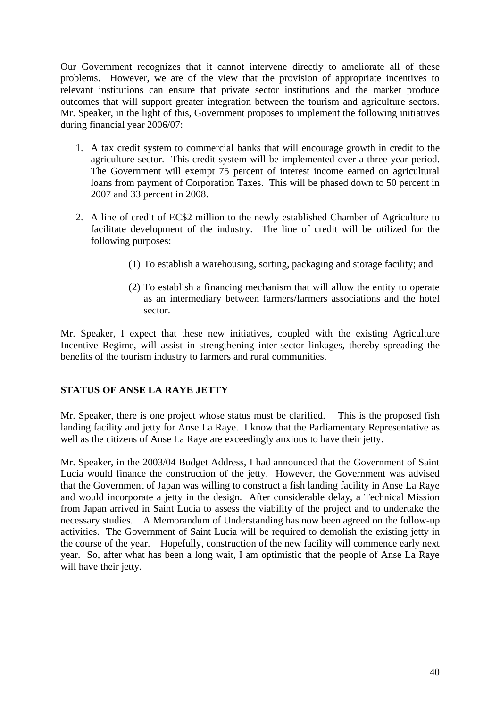Our Government recognizes that it cannot intervene directly to ameliorate all of these problems. However, we are of the view that the provision of appropriate incentives to relevant institutions can ensure that private sector institutions and the market produce outcomes that will support greater integration between the tourism and agriculture sectors. Mr. Speaker, in the light of this, Government proposes to implement the following initiatives during financial year 2006/07:

- 1. A tax credit system to commercial banks that will encourage growth in credit to the agriculture sector. This credit system will be implemented over a three-year period. The Government will exempt 75 percent of interest income earned on agricultural loans from payment of Corporation Taxes. This will be phased down to 50 percent in 2007 and 33 percent in 2008.
- 2. A line of credit of EC\$2 million to the newly established Chamber of Agriculture to facilitate development of the industry. The line of credit will be utilized for the following purposes:
	- (1) To establish a warehousing, sorting, packaging and storage facility; and
	- (2) To establish a financing mechanism that will allow the entity to operate as an intermediary between farmers/farmers associations and the hotel sector.

Mr. Speaker, I expect that these new initiatives, coupled with the existing Agriculture Incentive Regime, will assist in strengthening inter-sector linkages, thereby spreading the benefits of the tourism industry to farmers and rural communities.

#### **STATUS OF ANSE LA RAYE JETTY**

Mr. Speaker, there is one project whose status must be clarified. This is the proposed fish landing facility and jetty for Anse La Raye. I know that the Parliamentary Representative as well as the citizens of Anse La Raye are exceedingly anxious to have their jetty.

Mr. Speaker, in the 2003/04 Budget Address, I had announced that the Government of Saint Lucia would finance the construction of the jetty. However, the Government was advised that the Government of Japan was willing to construct a fish landing facility in Anse La Raye and would incorporate a jetty in the design. After considerable delay, a Technical Mission from Japan arrived in Saint Lucia to assess the viability of the project and to undertake the necessary studies. A Memorandum of Understanding has now been agreed on the follow-up activities. The Government of Saint Lucia will be required to demolish the existing jetty in the course of the year. Hopefully, construction of the new facility will commence early next year. So, after what has been a long wait, I am optimistic that the people of Anse La Raye will have their jetty.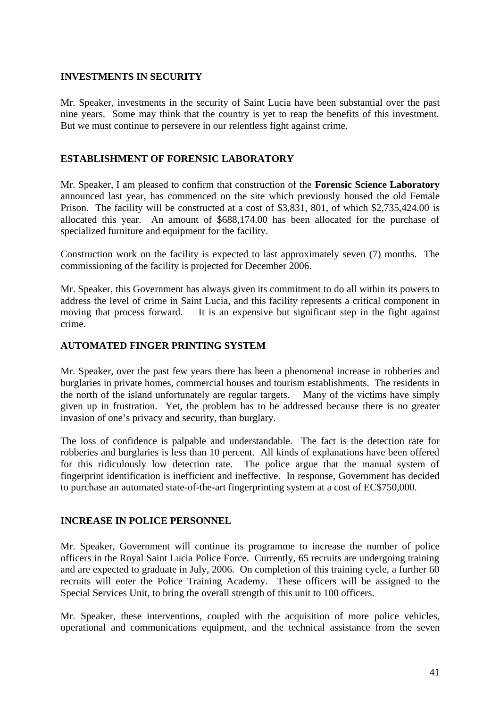#### **INVESTMENTS IN SECURITY**

Mr. Speaker, investments in the security of Saint Lucia have been substantial over the past nine years. Some may think that the country is yet to reap the benefits of this investment. But we must continue to persevere in our relentless fight against crime.

#### **ESTABLISHMENT OF FORENSIC LABORATORY**

Mr. Speaker, I am pleased to confirm that construction of the **Forensic Science Laboratory** announced last year, has commenced on the site which previously housed the old Female Prison. The facility will be constructed at a cost of \$3,831, 801, of which \$2,735,424.00 is allocated this year. An amount of \$688,174.00 has been allocated for the purchase of specialized furniture and equipment for the facility.

Construction work on the facility is expected to last approximately seven (7) months. The commissioning of the facility is projected for December 2006.

Mr. Speaker, this Government has always given its commitment to do all within its powers to address the level of crime in Saint Lucia, and this facility represents a critical component in moving that process forward. It is an expensive but significant step in the fight against crime.

#### **AUTOMATED FINGER PRINTING SYSTEM**

Mr. Speaker, over the past few years there has been a phenomenal increase in robberies and burglaries in private homes, commercial houses and tourism establishments. The residents in the north of the island unfortunately are regular targets. Many of the victims have simply given up in frustration. Yet, the problem has to be addressed because there is no greater invasion of one's privacy and security, than burglary.

The loss of confidence is palpable and understandable. The fact is the detection rate for robberies and burglaries is less than 10 percent. All kinds of explanations have been offered for this ridiculously low detection rate. The police argue that the manual system of fingerprint identification is inefficient and ineffective. In response, Government has decided to purchase an automated state-of-the-art fingerprinting system at a cost of EC\$750,000.

#### **INCREASE IN POLICE PERSONNEL**

Mr. Speaker, Government will continue its programme to increase the number of police officers in the Royal Saint Lucia Police Force. Currently, 65 recruits are undergoing training and are expected to graduate in July, 2006. On completion of this training cycle, a further 60 recruits will enter the Police Training Academy. These officers will be assigned to the Special Services Unit, to bring the overall strength of this unit to 100 officers.

Mr. Speaker, these interventions, coupled with the acquisition of more police vehicles, operational and communications equipment, and the technical assistance from the seven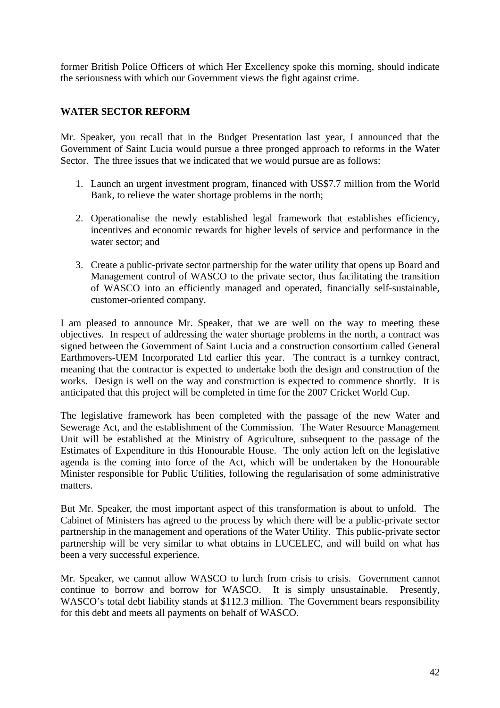former British Police Officers of which Her Excellency spoke this morning, should indicate the seriousness with which our Government views the fight against crime.

#### **WATER SECTOR REFORM**

Mr. Speaker, you recall that in the Budget Presentation last year, I announced that the Government of Saint Lucia would pursue a three pronged approach to reforms in the Water Sector. The three issues that we indicated that we would pursue are as follows:

- 1. Launch an urgent investment program, financed with US\$7.7 million from the World Bank, to relieve the water shortage problems in the north;
- 2. Operationalise the newly established legal framework that establishes efficiency, incentives and economic rewards for higher levels of service and performance in the water sector; and
- 3. Create a public-private sector partnership for the water utility that opens up Board and Management control of WASCO to the private sector, thus facilitating the transition of WASCO into an efficiently managed and operated, financially self-sustainable, customer-oriented company.

I am pleased to announce Mr. Speaker, that we are well on the way to meeting these objectives. In respect of addressing the water shortage problems in the north, a contract was signed between the Government of Saint Lucia and a construction consortium called General Earthmovers-UEM Incorporated Ltd earlier this year. The contract is a turnkey contract, meaning that the contractor is expected to undertake both the design and construction of the works. Design is well on the way and construction is expected to commence shortly. It is anticipated that this project will be completed in time for the 2007 Cricket World Cup.

The legislative framework has been completed with the passage of the new Water and Sewerage Act, and the establishment of the Commission. The Water Resource Management Unit will be established at the Ministry of Agriculture, subsequent to the passage of the Estimates of Expenditure in this Honourable House. The only action left on the legislative agenda is the coming into force of the Act, which will be undertaken by the Honourable Minister responsible for Public Utilities, following the regularisation of some administrative matters.

But Mr. Speaker, the most important aspect of this transformation is about to unfold. The Cabinet of Ministers has agreed to the process by which there will be a public-private sector partnership in the management and operations of the Water Utility. This public-private sector partnership will be very similar to what obtains in LUCELEC, and will build on what has been a very successful experience.

Mr. Speaker, we cannot allow WASCO to lurch from crisis to crisis. Government cannot continue to borrow and borrow for WASCO. It is simply unsustainable. Presently, WASCO's total debt liability stands at \$112.3 million. The Government bears responsibility for this debt and meets all payments on behalf of WASCO.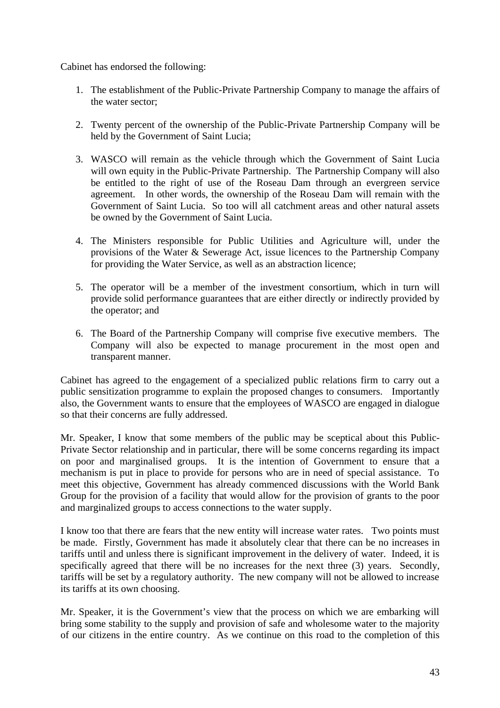Cabinet has endorsed the following:

- 1. The establishment of the Public-Private Partnership Company to manage the affairs of the water sector;
- 2. Twenty percent of the ownership of the Public-Private Partnership Company will be held by the Government of Saint Lucia;
- 3. WASCO will remain as the vehicle through which the Government of Saint Lucia will own equity in the Public-Private Partnership. The Partnership Company will also be entitled to the right of use of the Roseau Dam through an evergreen service agreement. In other words, the ownership of the Roseau Dam will remain with the Government of Saint Lucia. So too will all catchment areas and other natural assets be owned by the Government of Saint Lucia.
- 4. The Ministers responsible for Public Utilities and Agriculture will, under the provisions of the Water & Sewerage Act, issue licences to the Partnership Company for providing the Water Service, as well as an abstraction licence;
- 5. The operator will be a member of the investment consortium, which in turn will provide solid performance guarantees that are either directly or indirectly provided by the operator; and
- 6. The Board of the Partnership Company will comprise five executive members. The Company will also be expected to manage procurement in the most open and transparent manner.

Cabinet has agreed to the engagement of a specialized public relations firm to carry out a public sensitization programme to explain the proposed changes to consumers. Importantly also, the Government wants to ensure that the employees of WASCO are engaged in dialogue so that their concerns are fully addressed.

Mr. Speaker, I know that some members of the public may be sceptical about this Public-Private Sector relationship and in particular, there will be some concerns regarding its impact on poor and marginalised groups. It is the intention of Government to ensure that a mechanism is put in place to provide for persons who are in need of special assistance. To meet this objective, Government has already commenced discussions with the World Bank Group for the provision of a facility that would allow for the provision of grants to the poor and marginalized groups to access connections to the water supply.

I know too that there are fears that the new entity will increase water rates. Two points must be made. Firstly, Government has made it absolutely clear that there can be no increases in tariffs until and unless there is significant improvement in the delivery of water. Indeed, it is specifically agreed that there will be no increases for the next three (3) years. Secondly, tariffs will be set by a regulatory authority. The new company will not be allowed to increase its tariffs at its own choosing.

Mr. Speaker, it is the Government's view that the process on which we are embarking will bring some stability to the supply and provision of safe and wholesome water to the majority of our citizens in the entire country. As we continue on this road to the completion of this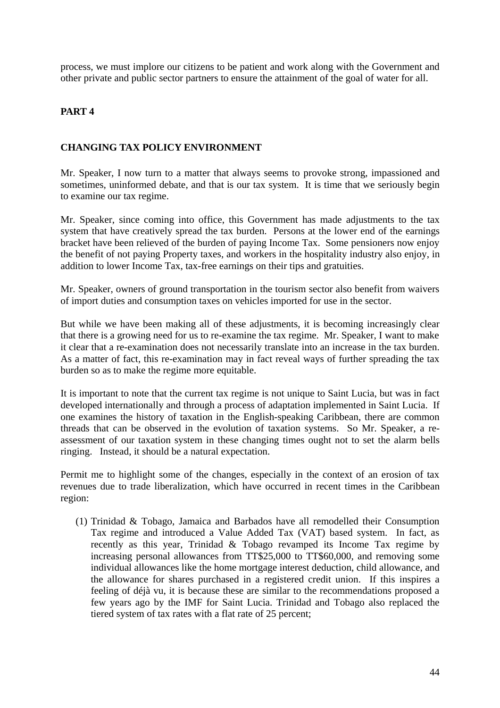process, we must implore our citizens to be patient and work along with the Government and other private and public sector partners to ensure the attainment of the goal of water for all.

#### **PART 4**

#### **CHANGING TAX POLICY ENVIRONMENT**

Mr. Speaker, I now turn to a matter that always seems to provoke strong, impassioned and sometimes, uninformed debate, and that is our tax system. It is time that we seriously begin to examine our tax regime.

Mr. Speaker, since coming into office, this Government has made adjustments to the tax system that have creatively spread the tax burden. Persons at the lower end of the earnings bracket have been relieved of the burden of paying Income Tax. Some pensioners now enjoy the benefit of not paying Property taxes, and workers in the hospitality industry also enjoy, in addition to lower Income Tax, tax-free earnings on their tips and gratuities.

Mr. Speaker, owners of ground transportation in the tourism sector also benefit from waivers of import duties and consumption taxes on vehicles imported for use in the sector.

But while we have been making all of these adjustments, it is becoming increasingly clear that there is a growing need for us to re-examine the tax regime. Mr. Speaker, I want to make it clear that a re-examination does not necessarily translate into an increase in the tax burden. As a matter of fact, this re-examination may in fact reveal ways of further spreading the tax burden so as to make the regime more equitable.

It is important to note that the current tax regime is not unique to Saint Lucia, but was in fact developed internationally and through a process of adaptation implemented in Saint Lucia. If one examines the history of taxation in the English-speaking Caribbean, there are common threads that can be observed in the evolution of taxation systems. So Mr. Speaker, a reassessment of our taxation system in these changing times ought not to set the alarm bells ringing. Instead, it should be a natural expectation.

Permit me to highlight some of the changes, especially in the context of an erosion of tax revenues due to trade liberalization, which have occurred in recent times in the Caribbean region:

(1) Trinidad & Tobago, Jamaica and Barbados have all remodelled their Consumption Tax regime and introduced a Value Added Tax (VAT) based system. In fact, as recently as this year, Trinidad & Tobago revamped its Income Tax regime by increasing personal allowances from TT\$25,000 to TT\$60,000, and removing some individual allowances like the home mortgage interest deduction, child allowance, and the allowance for shares purchased in a registered credit union. If this inspires a feeling of déjà vu, it is because these are similar to the recommendations proposed a few years ago by the IMF for Saint Lucia. Trinidad and Tobago also replaced the tiered system of tax rates with a flat rate of 25 percent;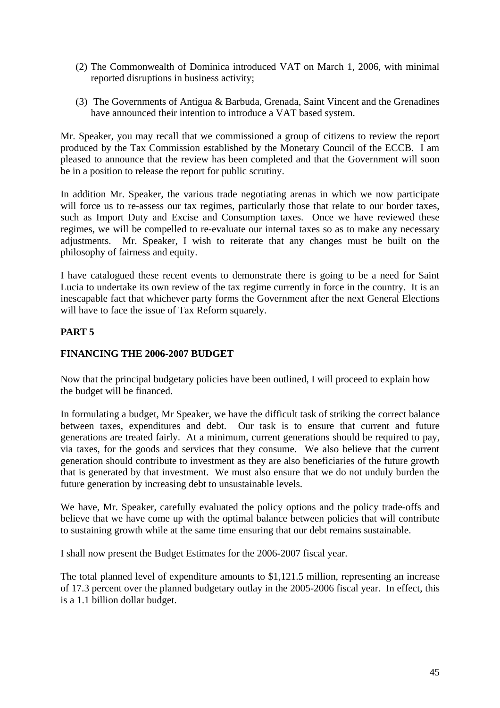- (2) The Commonwealth of Dominica introduced VAT on March 1, 2006, with minimal reported disruptions in business activity;
- (3) The Governments of Antigua & Barbuda, Grenada, Saint Vincent and the Grenadines have announced their intention to introduce a VAT based system.

Mr. Speaker, you may recall that we commissioned a group of citizens to review the report produced by the Tax Commission established by the Monetary Council of the ECCB. I am pleased to announce that the review has been completed and that the Government will soon be in a position to release the report for public scrutiny.

In addition Mr. Speaker, the various trade negotiating arenas in which we now participate will force us to re-assess our tax regimes, particularly those that relate to our border taxes, such as Import Duty and Excise and Consumption taxes. Once we have reviewed these regimes, we will be compelled to re-evaluate our internal taxes so as to make any necessary adjustments. Mr. Speaker, I wish to reiterate that any changes must be built on the philosophy of fairness and equity.

I have catalogued these recent events to demonstrate there is going to be a need for Saint Lucia to undertake its own review of the tax regime currently in force in the country. It is an inescapable fact that whichever party forms the Government after the next General Elections will have to face the issue of Tax Reform squarely.

#### **PART 5**

#### **FINANCING THE 2006-2007 BUDGET**

Now that the principal budgetary policies have been outlined, I will proceed to explain how the budget will be financed.

In formulating a budget, Mr Speaker, we have the difficult task of striking the correct balance between taxes, expenditures and debt. Our task is to ensure that current and future generations are treated fairly. At a minimum, current generations should be required to pay, via taxes, for the goods and services that they consume. We also believe that the current generation should contribute to investment as they are also beneficiaries of the future growth that is generated by that investment. We must also ensure that we do not unduly burden the future generation by increasing debt to unsustainable levels.

We have, Mr. Speaker, carefully evaluated the policy options and the policy trade-offs and believe that we have come up with the optimal balance between policies that will contribute to sustaining growth while at the same time ensuring that our debt remains sustainable.

I shall now present the Budget Estimates for the 2006-2007 fiscal year.

The total planned level of expenditure amounts to \$1,121.5 million, representing an increase of 17.3 percent over the planned budgetary outlay in the 2005-2006 fiscal year. In effect, this is a 1.1 billion dollar budget.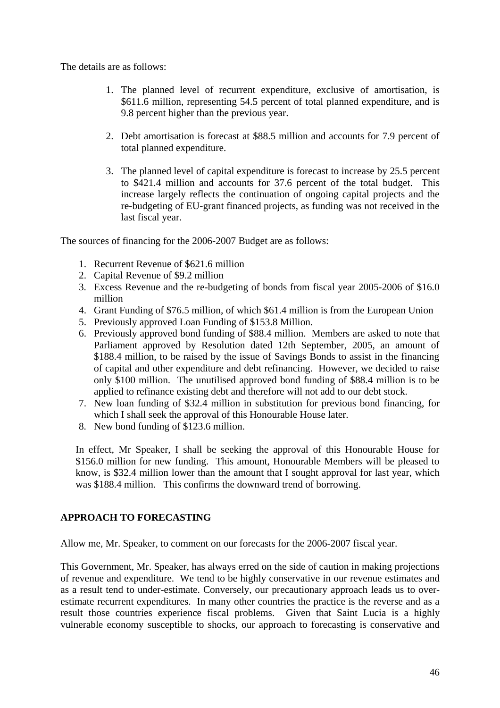The details are as follows:

- 1. The planned level of recurrent expenditure, exclusive of amortisation, is \$611.6 million, representing 54.5 percent of total planned expenditure, and is 9.8 percent higher than the previous year.
- 2. Debt amortisation is forecast at \$88.5 million and accounts for 7.9 percent of total planned expenditure.
- 3. The planned level of capital expenditure is forecast to increase by 25.5 percent to \$421.4 million and accounts for 37.6 percent of the total budget. This increase largely reflects the continuation of ongoing capital projects and the re-budgeting of EU-grant financed projects, as funding was not received in the last fiscal year.

The sources of financing for the 2006-2007 Budget are as follows:

- 1. Recurrent Revenue of \$621.6 million
- 2. Capital Revenue of \$9.2 million
- 3. Excess Revenue and the re-budgeting of bonds from fiscal year 2005-2006 of \$16.0 million
- 4. Grant Funding of \$76.5 million, of which \$61.4 million is from the European Union
- 5. Previously approved Loan Funding of \$153.8 Million.
- 6. Previously approved bond funding of \$88.4 million. Members are asked to note that Parliament approved by Resolution dated 12th September, 2005, an amount of \$188.4 million, to be raised by the issue of Savings Bonds to assist in the financing of capital and other expenditure and debt refinancing. However, we decided to raise only \$100 million. The unutilised approved bond funding of \$88.4 million is to be applied to refinance existing debt and therefore will not add to our debt stock.
- 7. New loan funding of \$32.4 million in substitution for previous bond financing, for which I shall seek the approval of this Honourable House later.
- 8. New bond funding of \$123.6 million.

In effect, Mr Speaker, I shall be seeking the approval of this Honourable House for \$156.0 million for new funding. This amount, Honourable Members will be pleased to know, is \$32.4 million lower than the amount that I sought approval for last year, which was \$188.4 million. This confirms the downward trend of borrowing.

#### **APPROACH TO FORECASTING**

Allow me, Mr. Speaker, to comment on our forecasts for the 2006-2007 fiscal year.

This Government, Mr. Speaker, has always erred on the side of caution in making projections of revenue and expenditure. We tend to be highly conservative in our revenue estimates and as a result tend to under-estimate. Conversely, our precautionary approach leads us to overestimate recurrent expenditures. In many other countries the practice is the reverse and as a result those countries experience fiscal problems. Given that Saint Lucia is a highly vulnerable economy susceptible to shocks, our approach to forecasting is conservative and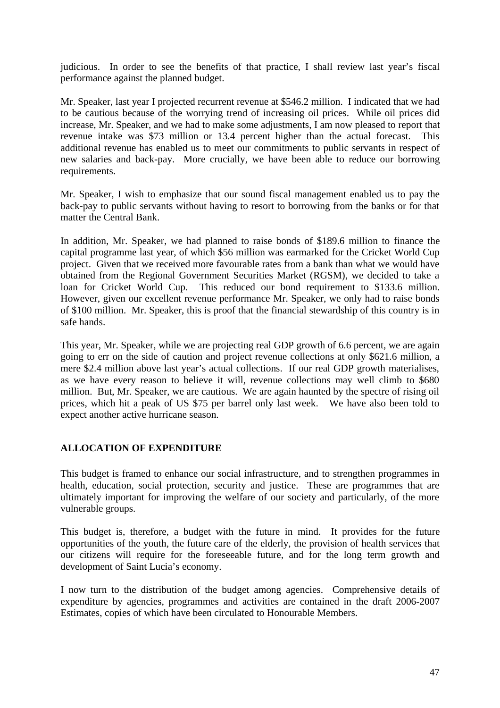judicious. In order to see the benefits of that practice, I shall review last year's fiscal performance against the planned budget.

Mr. Speaker, last year I projected recurrent revenue at \$546.2 million. I indicated that we had to be cautious because of the worrying trend of increasing oil prices. While oil prices did increase, Mr. Speaker, and we had to make some adjustments, I am now pleased to report that revenue intake was \$73 million or 13.4 percent higher than the actual forecast. This additional revenue has enabled us to meet our commitments to public servants in respect of new salaries and back-pay. More crucially, we have been able to reduce our borrowing requirements.

Mr. Speaker, I wish to emphasize that our sound fiscal management enabled us to pay the back-pay to public servants without having to resort to borrowing from the banks or for that matter the Central Bank.

In addition, Mr. Speaker, we had planned to raise bonds of \$189.6 million to finance the capital programme last year, of which \$56 million was earmarked for the Cricket World Cup project. Given that we received more favourable rates from a bank than what we would have obtained from the Regional Government Securities Market (RGSM), we decided to take a loan for Cricket World Cup. This reduced our bond requirement to \$133.6 million. However, given our excellent revenue performance Mr. Speaker, we only had to raise bonds of \$100 million. Mr. Speaker, this is proof that the financial stewardship of this country is in safe hands.

This year, Mr. Speaker, while we are projecting real GDP growth of 6.6 percent, we are again going to err on the side of caution and project revenue collections at only \$621.6 million, a mere \$2.4 million above last year's actual collections. If our real GDP growth materialises, as we have every reason to believe it will, revenue collections may well climb to \$680 million. But, Mr. Speaker, we are cautious. We are again haunted by the spectre of rising oil prices, which hit a peak of US \$75 per barrel only last week. We have also been told to expect another active hurricane season.

#### **ALLOCATION OF EXPENDITURE**

This budget is framed to enhance our social infrastructure, and to strengthen programmes in health, education, social protection, security and justice. These are programmes that are ultimately important for improving the welfare of our society and particularly, of the more vulnerable groups.

This budget is, therefore, a budget with the future in mind. It provides for the future opportunities of the youth, the future care of the elderly, the provision of health services that our citizens will require for the foreseeable future, and for the long term growth and development of Saint Lucia's economy.

I now turn to the distribution of the budget among agencies. Comprehensive details of expenditure by agencies, programmes and activities are contained in the draft 2006-2007 Estimates, copies of which have been circulated to Honourable Members.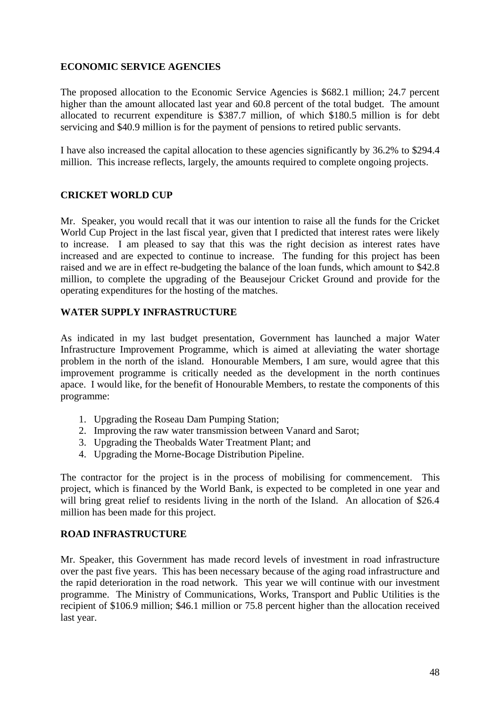#### **ECONOMIC SERVICE AGENCIES**

The proposed allocation to the Economic Service Agencies is \$682.1 million; 24.7 percent higher than the amount allocated last year and 60.8 percent of the total budget. The amount allocated to recurrent expenditure is \$387.7 million, of which \$180.5 million is for debt servicing and \$40.9 million is for the payment of pensions to retired public servants.

I have also increased the capital allocation to these agencies significantly by 36.2% to \$294.4 million. This increase reflects, largely, the amounts required to complete ongoing projects.

#### **CRICKET WORLD CUP**

Mr. Speaker, you would recall that it was our intention to raise all the funds for the Cricket World Cup Project in the last fiscal year, given that I predicted that interest rates were likely to increase. I am pleased to say that this was the right decision as interest rates have increased and are expected to continue to increase. The funding for this project has been raised and we are in effect re-budgeting the balance of the loan funds, which amount to \$42.8 million, to complete the upgrading of the Beausejour Cricket Ground and provide for the operating expenditures for the hosting of the matches.

#### **WATER SUPPLY INFRASTRUCTURE**

As indicated in my last budget presentation, Government has launched a major Water Infrastructure Improvement Programme, which is aimed at alleviating the water shortage problem in the north of the island. Honourable Members, I am sure, would agree that this improvement programme is critically needed as the development in the north continues apace. I would like, for the benefit of Honourable Members, to restate the components of this programme:

- 1. Upgrading the Roseau Dam Pumping Station;
- 2. Improving the raw water transmission between Vanard and Sarot;
- 3. Upgrading the Theobalds Water Treatment Plant; and
- 4. Upgrading the Morne-Bocage Distribution Pipeline.

The contractor for the project is in the process of mobilising for commencement. This project, which is financed by the World Bank, is expected to be completed in one year and will bring great relief to residents living in the north of the Island. An allocation of \$26.4 million has been made for this project.

#### **ROAD INFRASTRUCTURE**

Mr. Speaker, this Government has made record levels of investment in road infrastructure over the past five years. This has been necessary because of the aging road infrastructure and the rapid deterioration in the road network. This year we will continue with our investment programme. The Ministry of Communications, Works, Transport and Public Utilities is the recipient of \$106.9 million; \$46.1 million or 75.8 percent higher than the allocation received last year.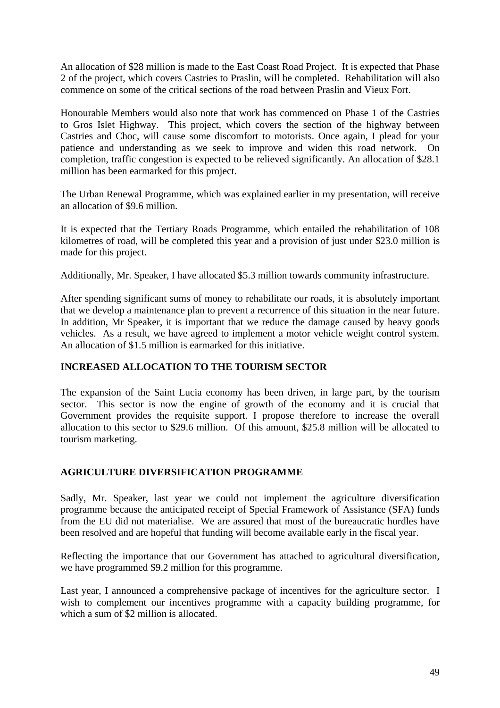An allocation of \$28 million is made to the East Coast Road Project. It is expected that Phase 2 of the project, which covers Castries to Praslin, will be completed. Rehabilitation will also commence on some of the critical sections of the road between Praslin and Vieux Fort.

Honourable Members would also note that work has commenced on Phase 1 of the Castries to Gros Islet Highway. This project, which covers the section of the highway between Castries and Choc, will cause some discomfort to motorists. Once again, I plead for your patience and understanding as we seek to improve and widen this road network. On completion, traffic congestion is expected to be relieved significantly. An allocation of \$28.1 million has been earmarked for this project.

The Urban Renewal Programme, which was explained earlier in my presentation, will receive an allocation of \$9.6 million.

It is expected that the Tertiary Roads Programme, which entailed the rehabilitation of 108 kilometres of road, will be completed this year and a provision of just under \$23.0 million is made for this project.

Additionally, Mr. Speaker, I have allocated \$5.3 million towards community infrastructure.

After spending significant sums of money to rehabilitate our roads, it is absolutely important that we develop a maintenance plan to prevent a recurrence of this situation in the near future. In addition, Mr Speaker, it is important that we reduce the damage caused by heavy goods vehicles. As a result, we have agreed to implement a motor vehicle weight control system. An allocation of \$1.5 million is earmarked for this initiative.

#### **INCREASED ALLOCATION TO THE TOURISM SECTOR**

The expansion of the Saint Lucia economy has been driven, in large part, by the tourism sector. This sector is now the engine of growth of the economy and it is crucial that Government provides the requisite support. I propose therefore to increase the overall allocation to this sector to \$29.6 million. Of this amount, \$25.8 million will be allocated to tourism marketing.

#### **AGRICULTURE DIVERSIFICATION PROGRAMME**

Sadly, Mr. Speaker, last year we could not implement the agriculture diversification programme because the anticipated receipt of Special Framework of Assistance (SFA) funds from the EU did not materialise. We are assured that most of the bureaucratic hurdles have been resolved and are hopeful that funding will become available early in the fiscal year.

Reflecting the importance that our Government has attached to agricultural diversification, we have programmed \$9.2 million for this programme.

Last year, I announced a comprehensive package of incentives for the agriculture sector. I wish to complement our incentives programme with a capacity building programme, for which a sum of \$2 million is allocated.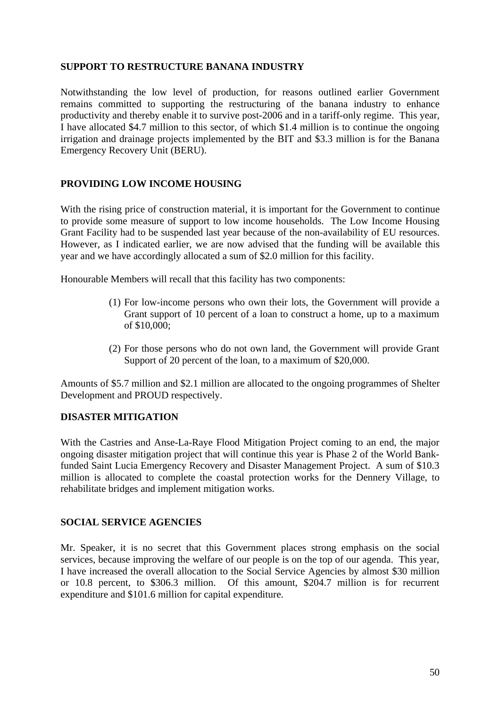#### **SUPPORT TO RESTRUCTURE BANANA INDUSTRY**

Notwithstanding the low level of production, for reasons outlined earlier Government remains committed to supporting the restructuring of the banana industry to enhance productivity and thereby enable it to survive post-2006 and in a tariff-only regime. This year, I have allocated \$4.7 million to this sector, of which \$1.4 million is to continue the ongoing irrigation and drainage projects implemented by the BIT and \$3.3 million is for the Banana Emergency Recovery Unit (BERU).

#### **PROVIDING LOW INCOME HOUSING**

With the rising price of construction material, it is important for the Government to continue to provide some measure of support to low income households. The Low Income Housing Grant Facility had to be suspended last year because of the non-availability of EU resources. However, as I indicated earlier, we are now advised that the funding will be available this year and we have accordingly allocated a sum of \$2.0 million for this facility.

Honourable Members will recall that this facility has two components:

- (1) For low-income persons who own their lots, the Government will provide a Grant support of 10 percent of a loan to construct a home, up to a maximum of \$10,000;
- (2) For those persons who do not own land, the Government will provide Grant Support of 20 percent of the loan, to a maximum of \$20,000.

Amounts of \$5.7 million and \$2.1 million are allocated to the ongoing programmes of Shelter Development and PROUD respectively.

#### **DISASTER MITIGATION**

With the Castries and Anse-La-Raye Flood Mitigation Project coming to an end, the major ongoing disaster mitigation project that will continue this year is Phase 2 of the World Bankfunded Saint Lucia Emergency Recovery and Disaster Management Project. A sum of \$10.3 million is allocated to complete the coastal protection works for the Dennery Village, to rehabilitate bridges and implement mitigation works.

#### **SOCIAL SERVICE AGENCIES**

Mr. Speaker, it is no secret that this Government places strong emphasis on the social services, because improving the welfare of our people is on the top of our agenda. This year, I have increased the overall allocation to the Social Service Agencies by almost \$30 million or 10.8 percent, to \$306.3 million. Of this amount, \$204.7 million is for recurrent expenditure and \$101.6 million for capital expenditure.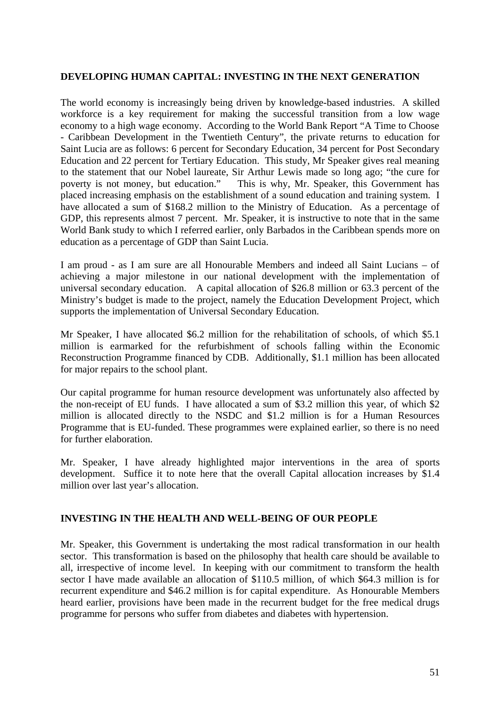#### **DEVELOPING HUMAN CAPITAL: INVESTING IN THE NEXT GENERATION**

The world economy is increasingly being driven by knowledge-based industries. A skilled workforce is a key requirement for making the successful transition from a low wage economy to a high wage economy. According to the World Bank Report "A Time to Choose - Caribbean Development in the Twentieth Century", the private returns to education for Saint Lucia are as follows: 6 percent for Secondary Education, 34 percent for Post Secondary Education and 22 percent for Tertiary Education. This study, Mr Speaker gives real meaning to the statement that our Nobel laureate, Sir Arthur Lewis made so long ago; "the cure for poverty is not money, but education." This is why, Mr. Speaker, this Government has placed increasing emphasis on the establishment of a sound education and training system. I have allocated a sum of \$168.2 million to the Ministry of Education. As a percentage of GDP, this represents almost 7 percent. Mr. Speaker, it is instructive to note that in the same World Bank study to which I referred earlier, only Barbados in the Caribbean spends more on education as a percentage of GDP than Saint Lucia.

I am proud - as I am sure are all Honourable Members and indeed all Saint Lucians – of achieving a major milestone in our national development with the implementation of universal secondary education. A capital allocation of \$26.8 million or 63.3 percent of the Ministry's budget is made to the project, namely the Education Development Project, which supports the implementation of Universal Secondary Education.

Mr Speaker, I have allocated \$6.2 million for the rehabilitation of schools, of which \$5.1 million is earmarked for the refurbishment of schools falling within the Economic Reconstruction Programme financed by CDB. Additionally, \$1.1 million has been allocated for major repairs to the school plant.

Our capital programme for human resource development was unfortunately also affected by the non-receipt of EU funds. I have allocated a sum of \$3.2 million this year, of which \$2 million is allocated directly to the NSDC and \$1.2 million is for a Human Resources Programme that is EU-funded. These programmes were explained earlier, so there is no need for further elaboration.

Mr. Speaker, I have already highlighted major interventions in the area of sports development. Suffice it to note here that the overall Capital allocation increases by \$1.4 million over last year's allocation.

#### **INVESTING IN THE HEALTH AND WELL-BEING OF OUR PEOPLE**

Mr. Speaker, this Government is undertaking the most radical transformation in our health sector. This transformation is based on the philosophy that health care should be available to all, irrespective of income level. In keeping with our commitment to transform the health sector I have made available an allocation of \$110.5 million, of which \$64.3 million is for recurrent expenditure and \$46.2 million is for capital expenditure. As Honourable Members heard earlier, provisions have been made in the recurrent budget for the free medical drugs programme for persons who suffer from diabetes and diabetes with hypertension.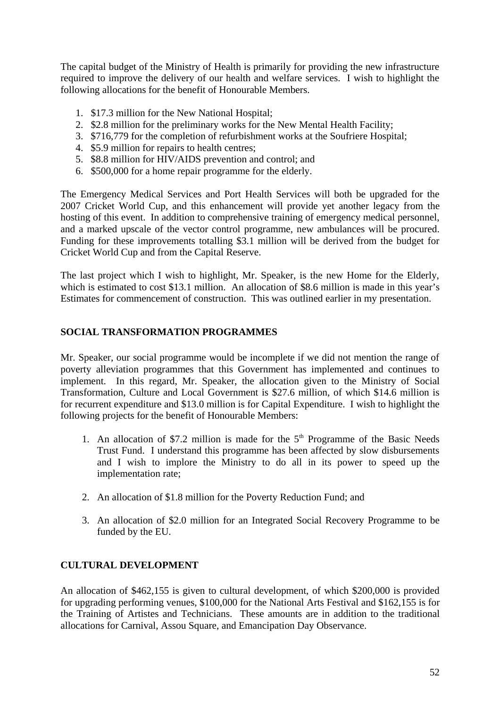The capital budget of the Ministry of Health is primarily for providing the new infrastructure required to improve the delivery of our health and welfare services. I wish to highlight the following allocations for the benefit of Honourable Members.

- 1. \$17.3 million for the New National Hospital;
- 2. \$2.8 million for the preliminary works for the New Mental Health Facility;
- 3. \$716,779 for the completion of refurbishment works at the Soufriere Hospital;
- 4. \$5.9 million for repairs to health centres;
- 5. \$8.8 million for HIV/AIDS prevention and control; and
- 6. \$500,000 for a home repair programme for the elderly.

The Emergency Medical Services and Port Health Services will both be upgraded for the 2007 Cricket World Cup, and this enhancement will provide yet another legacy from the hosting of this event. In addition to comprehensive training of emergency medical personnel, and a marked upscale of the vector control programme, new ambulances will be procured. Funding for these improvements totalling \$3.1 million will be derived from the budget for Cricket World Cup and from the Capital Reserve.

The last project which I wish to highlight, Mr. Speaker, is the new Home for the Elderly, which is estimated to cost \$13.1 million. An allocation of \$8.6 million is made in this year's Estimates for commencement of construction. This was outlined earlier in my presentation.

#### **SOCIAL TRANSFORMATION PROGRAMMES**

Mr. Speaker, our social programme would be incomplete if we did not mention the range of poverty alleviation programmes that this Government has implemented and continues to implement. In this regard, Mr. Speaker, the allocation given to the Ministry of Social Transformation, Culture and Local Government is \$27.6 million, of which \$14.6 million is for recurrent expenditure and \$13.0 million is for Capital Expenditure. I wish to highlight the following projects for the benefit of Honourable Members:

- 1. An allocation of \$7.2 million is made for the  $5<sup>th</sup>$  Programme of the Basic Needs Trust Fund. I understand this programme has been affected by slow disbursements and I wish to implore the Ministry to do all in its power to speed up the implementation rate;
- 2. An allocation of \$1.8 million for the Poverty Reduction Fund; and
- 3. An allocation of \$2.0 million for an Integrated Social Recovery Programme to be funded by the EU.

#### **CULTURAL DEVELOPMENT**

An allocation of \$462,155 is given to cultural development, of which \$200,000 is provided for upgrading performing venues, \$100,000 for the National Arts Festival and \$162,155 is for the Training of Artistes and Technicians. These amounts are in addition to the traditional allocations for Carnival, Assou Square, and Emancipation Day Observance.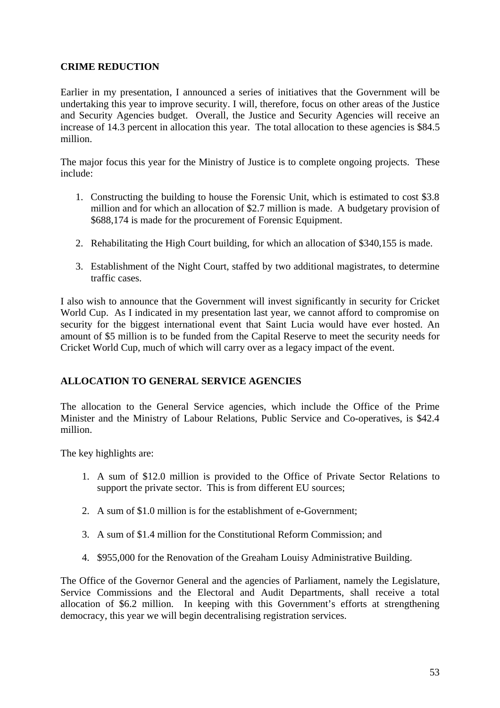#### **CRIME REDUCTION**

Earlier in my presentation, I announced a series of initiatives that the Government will be undertaking this year to improve security. I will, therefore, focus on other areas of the Justice and Security Agencies budget. Overall, the Justice and Security Agencies will receive an increase of 14.3 percent in allocation this year. The total allocation to these agencies is \$84.5 million.

The major focus this year for the Ministry of Justice is to complete ongoing projects. These include:

- 1. Constructing the building to house the Forensic Unit, which is estimated to cost \$3.8 million and for which an allocation of \$2.7 million is made. A budgetary provision of \$688,174 is made for the procurement of Forensic Equipment.
- 2. Rehabilitating the High Court building, for which an allocation of \$340,155 is made.
- 3. Establishment of the Night Court, staffed by two additional magistrates, to determine traffic cases.

I also wish to announce that the Government will invest significantly in security for Cricket World Cup. As I indicated in my presentation last year, we cannot afford to compromise on security for the biggest international event that Saint Lucia would have ever hosted. An amount of \$5 million is to be funded from the Capital Reserve to meet the security needs for Cricket World Cup, much of which will carry over as a legacy impact of the event.

#### **ALLOCATION TO GENERAL SERVICE AGENCIES**

The allocation to the General Service agencies, which include the Office of the Prime Minister and the Ministry of Labour Relations, Public Service and Co-operatives, is \$42.4 million.

The key highlights are:

- 1. A sum of \$12.0 million is provided to the Office of Private Sector Relations to support the private sector. This is from different EU sources;
- 2. A sum of \$1.0 million is for the establishment of e-Government;
- 3. A sum of \$1.4 million for the Constitutional Reform Commission; and
- 4. \$955,000 for the Renovation of the Greaham Louisy Administrative Building.

The Office of the Governor General and the agencies of Parliament, namely the Legislature, Service Commissions and the Electoral and Audit Departments, shall receive a total allocation of \$6.2 million. In keeping with this Government's efforts at strengthening democracy, this year we will begin decentralising registration services.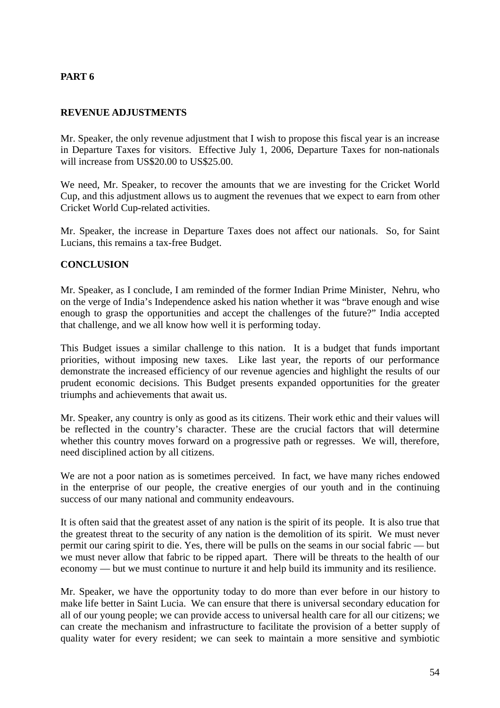#### **PART 6**

#### **REVENUE ADJUSTMENTS**

Mr. Speaker, the only revenue adjustment that I wish to propose this fiscal year is an increase in Departure Taxes for visitors. Effective July 1, 2006, Departure Taxes for non-nationals will increase from US\$20.00 to US\$25.00.

We need, Mr. Speaker, to recover the amounts that we are investing for the Cricket World Cup, and this adjustment allows us to augment the revenues that we expect to earn from other Cricket World Cup-related activities.

Mr. Speaker, the increase in Departure Taxes does not affect our nationals. So, for Saint Lucians, this remains a tax-free Budget.

#### **CONCLUSION**

Mr. Speaker, as I conclude, I am reminded of the former Indian Prime Minister, Nehru, who on the verge of India's Independence asked his nation whether it was "brave enough and wise enough to grasp the opportunities and accept the challenges of the future?" India accepted that challenge, and we all know how well it is performing today.

This Budget issues a similar challenge to this nation. It is a budget that funds important priorities, without imposing new taxes. Like last year, the reports of our performance demonstrate the increased efficiency of our revenue agencies and highlight the results of our prudent economic decisions. This Budget presents expanded opportunities for the greater triumphs and achievements that await us.

Mr. Speaker, any country is only as good as its citizens. Their work ethic and their values will be reflected in the country's character. These are the crucial factors that will determine whether this country moves forward on a progressive path or regresses. We will, therefore, need disciplined action by all citizens.

We are not a poor nation as is sometimes perceived. In fact, we have many riches endowed in the enterprise of our people, the creative energies of our youth and in the continuing success of our many national and community endeavours.

It is often said that the greatest asset of any nation is the spirit of its people. It is also true that the greatest threat to the security of any nation is the demolition of its spirit. We must never permit our caring spirit to die. Yes, there will be pulls on the seams in our social fabric — but we must never allow that fabric to be ripped apart. There will be threats to the health of our economy — but we must continue to nurture it and help build its immunity and its resilience.

Mr. Speaker, we have the opportunity today to do more than ever before in our history to make life better in Saint Lucia. We can ensure that there is universal secondary education for all of our young people; we can provide access to universal health care for all our citizens; we can create the mechanism and infrastructure to facilitate the provision of a better supply of quality water for every resident; we can seek to maintain a more sensitive and symbiotic